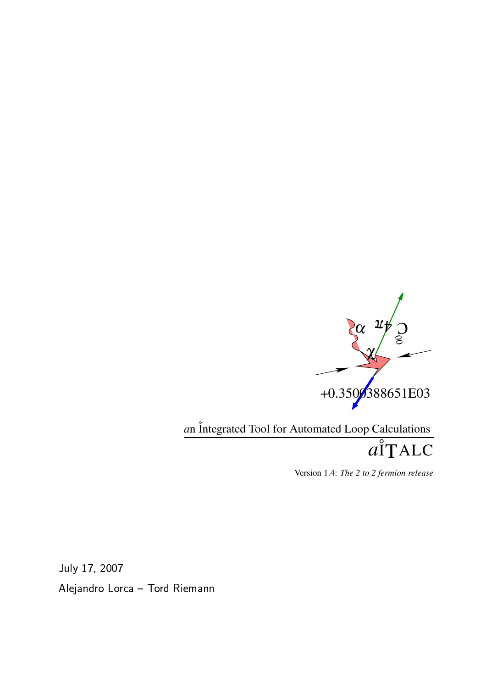

*a*n ˚Integrated Tool for Automated Loop Calculations

*a* ˚ ITALC

Version 1.4: *The 2 to 2 fermion release*

- 
-- 

Aleiandro Lorca – Tord Rieman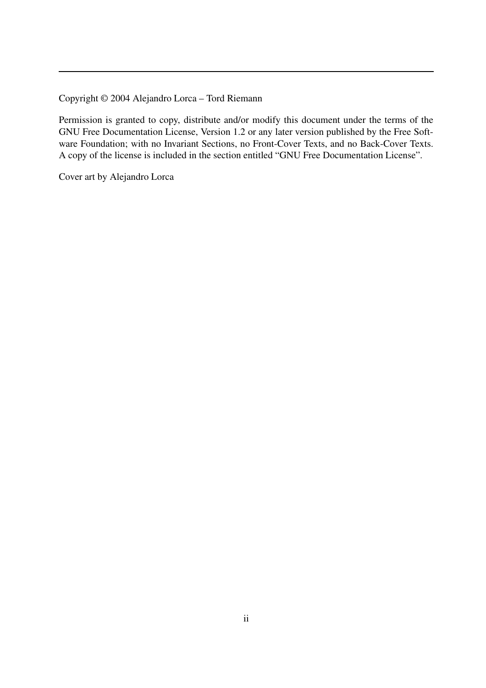Copyright © 2004 Alejandro Lorca – Tord Riemann

Permission is granted to copy, distribute and/or modify this document under the terms of the GNU Free Documentation License, Version 1.2 or any later version published by the Free Software Foundation; with no Invariant Sections, no Front-Cover Texts, and no Back-Cover Texts. A copy of the license is included in the section entitled "GNU Free Documentation License".

Cover art by Alejandro Lorca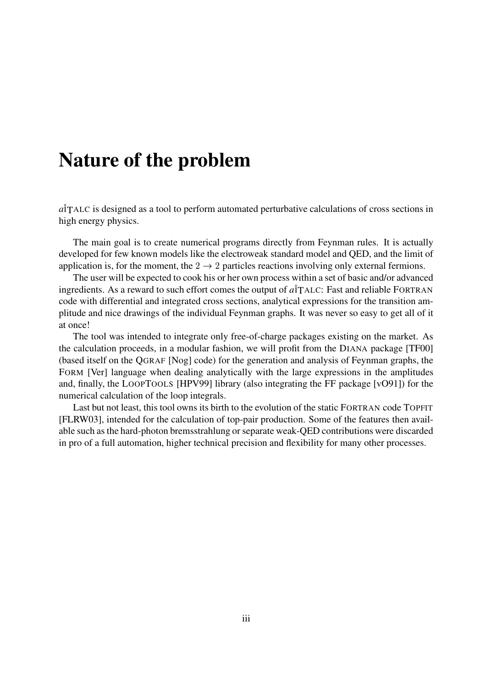## **Nature of the problem**

*a*˚ITALC is designed as a tool to perform automated perturbative calculations of cross sections in high energy physics.

The main goal is to create numerical programs directly from Feynman rules. It is actually developed for few known models like the electroweak standard model and QED, and the limit of application is, for the moment, the  $2 \rightarrow 2$  particles reactions involving only external fermions.

The user will be expected to cook his or her own process within a set of basic and/or advanced ingredients. As a reward to such effort comes the output of  $a\hat{T}$ ALC: Fast and reliable FORTRAN code with differential and integrated cross sections, analytical expressions for the transition amplitude and nice drawings of the individual Feynman graphs. It was never so easy to get all of it at once!

The tool was intended to integrate only free-of-charge packages existing on the market. As the calculation proceeds, in a modular fashion, we will profit from the DIANA package [TF00] (based itself on the QGRAF [Nog] code) for the generation and analysis of Feynman graphs, the FORM [Ver] language when dealing analytically with the large expressions in the amplitudes and, finally, the LOOPTOOLS [HPV99] library (also integrating the FF package [vO91]) for the numerical calculation of the loop integrals.

Last but not least, this tool owns its birth to the evolution of the static FORTRAN code TOPFIT [FLRW03], intended for the calculation of top-pair production. Some of the features then available such as the hard-photon bremsstrahlung or separate weak-QED contributions were discarded in pro of a full automation, higher technical precision and flexibility for many other processes.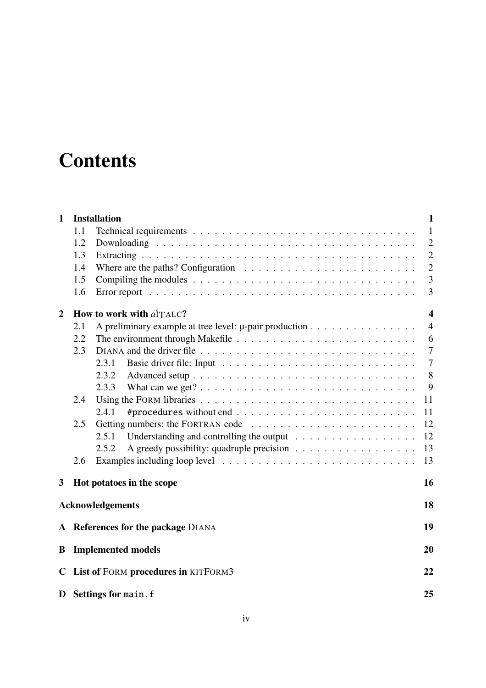# **Contents**

| $\mathbf{1}$   |     | <b>Installation</b>                                                                             | 1                       |
|----------------|-----|-------------------------------------------------------------------------------------------------|-------------------------|
|                | 1.1 |                                                                                                 | $\mathbf{1}$            |
|                | 1.2 |                                                                                                 | $\overline{2}$          |
|                | 1.3 |                                                                                                 | $\overline{2}$          |
|                | 1.4 | Where are the paths? Configuration $\ldots \ldots \ldots \ldots \ldots \ldots \ldots \ldots$    | $\overline{2}$          |
|                | 1.5 | Compiling the modules $\dots \dots \dots \dots \dots \dots \dots \dots \dots \dots \dots \dots$ | 3                       |
|                | 1.6 |                                                                                                 | 3                       |
| $\overline{2}$ |     | How to work with alTALC?                                                                        | $\overline{\mathbf{4}}$ |
|                | 2.1 | A preliminary example at tree level: $\mu$ -pair production                                     | $\overline{4}$          |
|                | 2.2 |                                                                                                 | 6                       |
|                | 2.3 |                                                                                                 | $\overline{7}$          |
|                |     | 2.3.1                                                                                           | $\tau$                  |
|                |     | 2.3.2                                                                                           | 8                       |
|                |     | 2.3.3                                                                                           | 9                       |
|                | 2.4 |                                                                                                 | 11                      |
|                |     | 2.4.1                                                                                           | 11                      |
|                | 2.5 |                                                                                                 | 12                      |
|                |     | 2.5.1                                                                                           | 12                      |
|                |     | 2.5.2                                                                                           | 13                      |
|                | 2.6 |                                                                                                 | 13                      |
| 3              |     | Hot potatoes in the scope                                                                       | 16                      |
|                |     | <b>Acknowledgements</b>                                                                         | 18                      |
|                |     | A References for the package DIANA                                                              | 19                      |
| B              |     | <b>Implemented models</b>                                                                       | 20                      |
| C.             |     | List of FORM procedures in KITFORM3                                                             | 22                      |
|                |     | D Settings for main. f                                                                          | 25                      |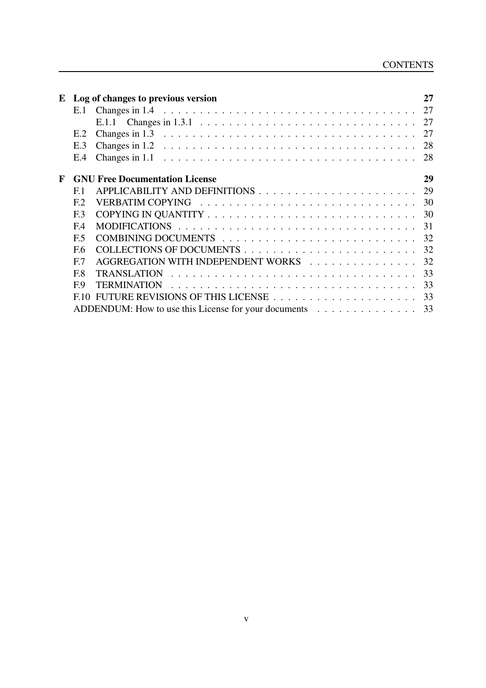| ${\bf E}$ |                | Log of changes to previous version                                                                           | 27  |
|-----------|----------------|--------------------------------------------------------------------------------------------------------------|-----|
|           |                |                                                                                                              |     |
|           |                | E.1.1 Changes in 1.3.1 $\dots \dots \dots \dots \dots \dots \dots \dots \dots \dots \dots \dots \dots \dots$ | -27 |
|           | E.2            | Changes in 1.3 $\dots \dots \dots \dots \dots \dots \dots \dots \dots \dots \dots \dots \dots \dots \dots$   | 27  |
|           | E.3            | Changes in 1.2 $\ldots \ldots \ldots \ldots \ldots \ldots \ldots \ldots \ldots \ldots \ldots \ldots \ldots$  | 28  |
|           | E.4            | Changes in $1.1 \ldots \ldots \ldots \ldots \ldots \ldots \ldots \ldots \ldots \ldots \ldots \ldots$         | 28  |
| F         |                | <b>GNU Free Documentation License</b>                                                                        | 29  |
|           | E <sub>1</sub> |                                                                                                              | 29  |
|           | E2             |                                                                                                              | 30  |
|           | E.3            |                                                                                                              | 30  |
|           | E <sub>4</sub> |                                                                                                              | 31  |
|           | F <sub>5</sub> |                                                                                                              | 32  |
|           | F.6            |                                                                                                              | 32  |
|           | E7             | AGGREGATION WITH INDEPENDENT WORKS                                                                           | 32  |
|           | F.8            | <b>TRANSLATION</b>                                                                                           | 33  |
|           | E9             |                                                                                                              | 33  |
|           | F10            |                                                                                                              | 33  |
|           |                | ADDENDUM: How to use this License for your documents                                                         | 33  |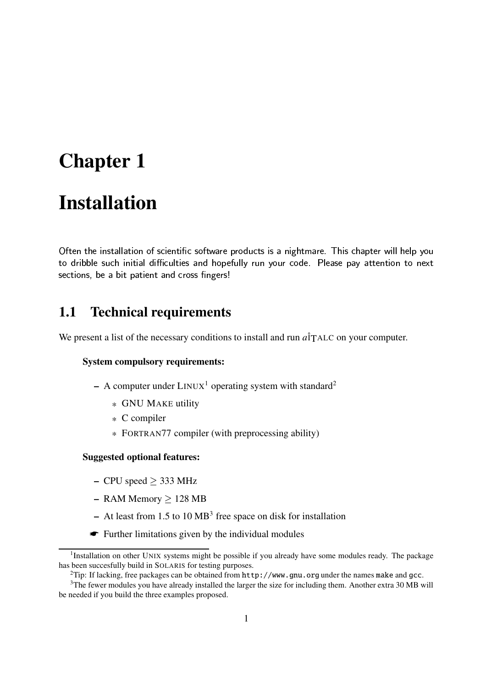# **Chapter 1**

## **Installation**

2436587:9;5=<>7@?A9>B85DCFEGEHCI5J?HKL9MKN3OBQP>?H7R9I5J? <sup>S</sup>P;BDKN365UTC:VW7YXRVZK\[^]>P\_58B`?HB(C9a? bL<I5=c,C:VZ7Nde`<a? B4P:<RCfXI587:V-Tg?AEGE<>7:EGXMh\_KL] 58Ki[^Vj?kfkfE 7lB]>P:<&?A9a? 5J?mCfE-[L?noP:]fE 5J? 7BpCf9>[q<>KLXa7r3]fEE hiVj]f9shKL]fV4PK\[f7adutOE 7vC>BQ7wXRCrhwCI5587:9I5J? KL9x58Ky9>7zR5 sections, be a bit patient and cross fingers!

### **1.1 Technical requirements**

We present a list of the necessary conditions to install and run *a*<sup>†</sup>TALC on your computer.

#### **System compulsory requirements:**

- **–** A computer under LINUX <sup>1</sup> operating system with standard<sup>2</sup>
	- \* GNU MAKE utility
	- \* C compiler
	- \* FORTRAN77 compiler (with preprocessing ability)

#### **Suggested optional features:**

- $-$  CPU speed  $>$  333 MHz
- $-$  RAM Memory  $> 128$  MB
- **–** At least from 1.5 to 10 MB<sup>3</sup> free space on disk for installation
- ☛ Further limitations given by the individual modules

<sup>&</sup>lt;sup>1</sup>Installation on other UNIX systems might be possible if you already have some modules ready. The package has been succesfully build in SOLARIS for testing purposes.

<sup>&</sup>lt;sup>2</sup>Tip: If lacking, free packages can be obtained from http://www.gnu.org under the names make and gcc.

<sup>&</sup>lt;sup>3</sup>The fewer modules you have already installed the larger the size for including them. Another extra 30 MB will be needed if you build the three examples proposed.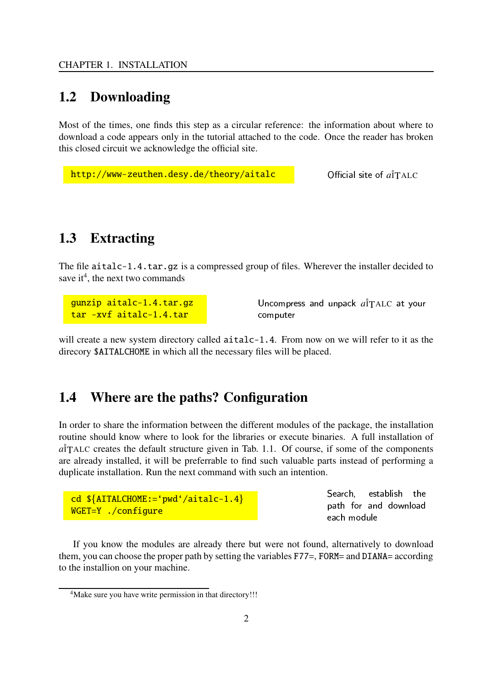#### **1.2 Downloading**

Most of the times, one finds this step as a circular reference: the information about where to download a code appears only in the tutorial attached to the code. Once the reader has broken this closed circuit we acknowledge the official site.

```
http://www-zeuthen.desy.de/theory/aitalc 2008 Official site of a<sup>†</sup>TALC
```
#### **1.3 Extracting**

The file aitalc-1.4.tar.gz is a compressed group of files. Wherever the installer decided to save it<sup>4</sup>, the next two commands

gunzip aitalc-1.4.tar.gz tar -xvf aitalc-1.4.tar

Uncompress and unpack  $a\hat{i}$ TALC at your computer

will create a new system directory called  $aitalc-1.4$ . From now on we will refer to it as the direcory \$AITALCHOME in which all the necessary files will be placed.

### **1.4 Where are the paths? Configuration**

In order to share the information between the different modules of the package, the installation routine should know where to look for the libraries or execute binaries. A full installation of  $a\overset{\circ}{T}$ ALC creates the default structure given in Tab. 1.1. Of course, if some of the components are already installed, it will be preferrable to find such valuable parts instead of performing a duplicate installation. Run the next command with such an intention.

```
cd \{ATTALCHOME:= 'pwd' / aitalc-1.4\}WGET=Y ./configure
```
Search, establish the path for and download each module

If you know the modules are already there but were not found, alternatively to download them, you can choose the proper path by setting the variables F77=, FORM= and DIANA= according to the installion on your machine.

<sup>&</sup>lt;sup>4</sup>Make sure you have write permission in that directory!!!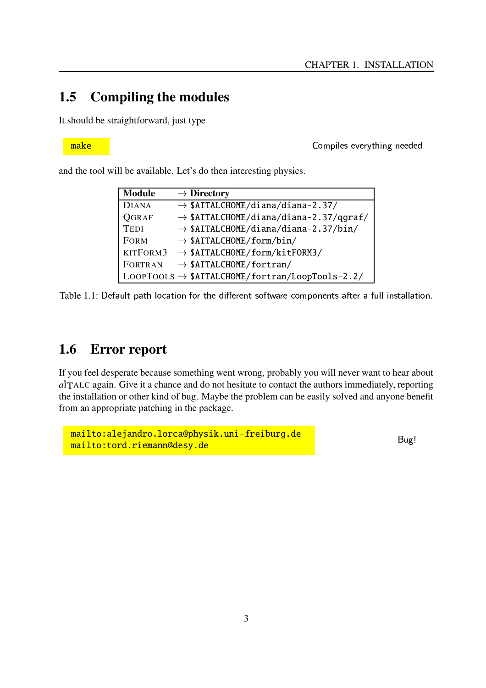### **1.5 Compiling the modules**

It should be straightforward, just type

make K cMXa?E 7Bg7r>7:VWhI5=<a?9>bl9>77[f7\_[

and the tool will be available. Let's do then interesting physics.

| <b>Module</b>  | $\rightarrow$ Directory                                     |
|----------------|-------------------------------------------------------------|
| <b>DIANA</b>   | $\rightarrow$ \$AITALCHOME/diana/diana-2.37/                |
| <b>QGRAF</b>   | $\rightarrow$ \$AITALCHOME/diana/diana-2.37/qgraf/          |
| <b>TEDI</b>    | $\rightarrow$ \$AITALCHOME/diana/diana-2.37/bin/            |
| <b>FORM</b>    | $\rightarrow$ \$AITALCHOME/form/bin/                        |
| KITFORM3       | $\rightarrow$ \$AITALCHOME/form/kitFORM3/                   |
| <b>FORTRAN</b> | $\rightarrow$ \$AITALCHOME/fortran/                         |
|                | $Loop Tools \rightarrow $AITALCHOME/fortran/LoopTools-2.2/$ |

Table 1.1: Default path location for the different software components after a full installation.  $\,$ 

### **1.6 Error report**

If you feel desperate because something went wrong, probably you will never want to hear about  $a\overset{\circ}{T}$ ALC again. Give it a chance and do not hesitate to contact the authors immediately, reporting the installation or other kind of bug. Maybe the problem can be easily solved and anyone benefit from an appropriate patching in the package.

```
mailto:alejandro.lorca@physik.uni-freiburg.de
mailto:tord.riemann@desy.de
```
Bug!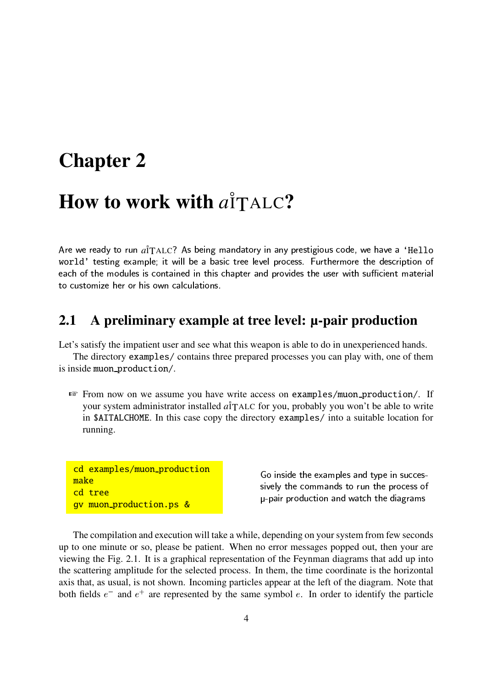## **Chapter 2**

# **How to work with**  $a^{\dagger}$ TALC?

Are we ready to run  $a\rq{}_{\rm TALC}$ ? As being mandatory in any prestigious code, we have a 'He $11$ o world' testing example; it will be a basic tree level process. Furthermore the description of 7vC>P:<oKN35=<>7pc,K\[^]fE 7\_B,?HBgPK 9I5DCf?9>7[?9@5=<a?HBgPR<RCFXI587RVCf9>[XRVZKNa? [f7B(5=<>7p]>BQ7RVOTg? 5=<oBr]InP>?H7R9I5cCI587:V?mCfE to customize her or his own calculations.

#### **2.1 A preliminary example at tree level: µ-pair production**

Let's satisfy the impatient user and see what this weapon is able to do in unexperienced hands.

The directory examples/ contains three prepared processes you can play with, one of them is inside muon production/.

☞ From now on we assume you have write access on examples/muon production/. If your system administrator installed *a*<sup>†</sup>TALC</sup> for you, probably you won't be able to write in \$AITALCHOME. In this case copy the directory examples/ into a suitable location for running.

```
cd examples/muon_production
make
cd tree
gv muon production.ps &
```
Go inside the examples and type in succes-B? >7:E h;5=<>7PK cMc,CF9>[fB 58K¡V]f9;5=<>7oX:VWK P\_7BDB4KN3 ¢ JXRCa?AV#X:VWK [^]>Pr5J?HKL9CF9>[1TCI58P:<5=<>7g[L?HCRbLVZCFc|B

The compilation and execution will take a while, depending on your system from few seconds up to one minute or so, please be patient. When no error messages popped out, then your are viewing the Fig. 2.1. It is a graphical representation of the Feynman diagrams that add up into the scattering amplitude for the selected process. In them, the time coordinate is the horizontal axis that, as usual, is not shown. Incoming particles appear at the left of the diagram. Note that both fields  $e^-$  and  $e^+$  are represented by the same symbol  $e$ . In order to identify the particle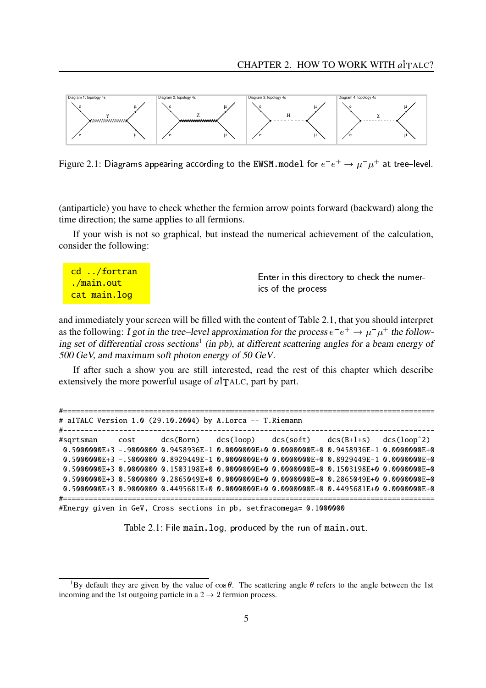

Figure 2.1: Diagrams appearing according to the EWSM model for  $e^-e^+ \to \mu^-\mu^+$  at tree—level.

(antiparticle) you have to check whether the fermion arrow points forward (backward) along the time direction; the same applies to all fermions.

If your wish is not so graphical, but instead the numerical achievement of the calculation, consider the following:

| <mark>cd /fortran</mark>  | Enter in this directory to check the numer- |
|---------------------------|---------------------------------------------|
| <u>./main.out</u>         | ics of the process                          |
| <mark>cat main.log</mark> |                                             |

and immediately your screen will be filled with the content of Table 2.1, that you should interpret as the following: I got in the tree–level approximation for the process  $e^-e^+ \rightarrow \mu^- \mu^+$  the following set of differential cross sections<sup>1</sup> (in pb), at different scattering angles for a beam energy of 500 GeV, and maximum soft photon energy of 50 GeV.

If after such a show you are still interested, read the rest of this chapter which describe extensively the more powerful usage of  $a\hat{\mathsf{T}}$ ALC, part by part.

|  |  | # aITALC Version 1.0 (29.10.2004) by A.Lorca -- T.Riemann |                                                                                             |  |
|--|--|-----------------------------------------------------------|---------------------------------------------------------------------------------------------|--|
|  |  |                                                           | #sqrtsman cost dcs(Born) dcs(loop) dcs(soft) dcs(B+1+s) dcs(loop^2)                         |  |
|  |  |                                                           | $0.5000000E + 3$ -.9000000 0.9458936E-1 0.0000000E+0 0.0000000E+0 0.9458936E-1 0.0000000E+0 |  |
|  |  |                                                           | 0.5000000E+3 -.5000000 0.8929449E-1 0.0000000E+0 0.0000000E+0 0.8929449E-1 0.0000000E+0     |  |
|  |  |                                                           | $0.5000000E+3$ 0.0000000 0.1503198E+0 0.0000000E+0 0.0000000E+0 0.1503198E+0 0.0000000E+0   |  |
|  |  |                                                           | 0.5000000E+3 0.50000000 0.2865049E+0 0.0000000E+0 0.0000000E+0 0.2865049E+0 0.000000E+0     |  |
|  |  |                                                           | 0.5000000E+3 0.9000000 0.4495681E+0 0.0000000E+0 0.0000000E+0 0.4495681E+0 0.000000E+0      |  |
|  |  |                                                           |                                                                                             |  |

#Energy given in GeV, Cross sections in pb, setfracomega= 0.1000000

Table 2.1: File main.log, produced by the run of main.out.  $\blacksquare$ 

<sup>&</sup>lt;sup>1</sup>By default they are given by the value of  $\cos \theta$ . The scattering angle  $\theta$  refers to the angle between the 1st incoming and the 1st outgoing particle in a  $2 \rightarrow 2$  fermion process.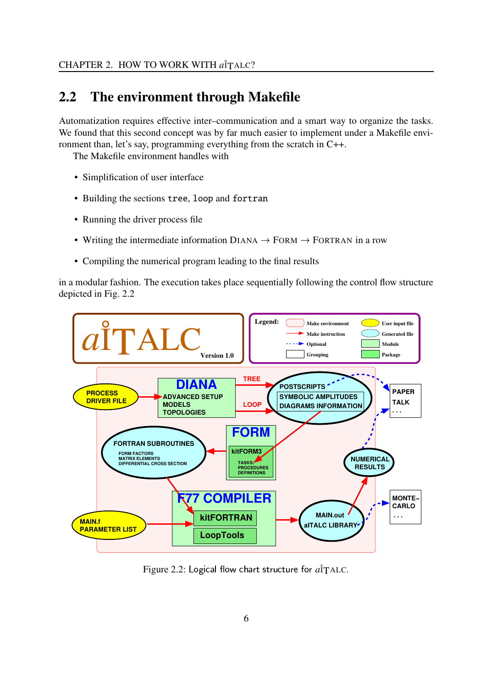### **2.2 The environment through Makefile**

Automatization requires effective inter–communication and a smart way to organize the tasks. We found that this second concept was by far much easier to implement under a Makefile environment than, let's say, programming everything from the scratch in C++.

The Makefile environment handles with

- Simplification of user interface
- Building the sections tree, loop and fortran
- Running the driver process file
- Writing the intermediate information  $DIANA \rightarrow FORM \rightarrow FORTRAN$  in a row
- Compiling the numerical program leading to the final results

in a modular fashion. The execution takes place sequentially following the control flow structure depicted in Fig. 2.2



Figure 2.2: Logical flow chart structure for  $\hat{a_{\rm I}}$ TALC.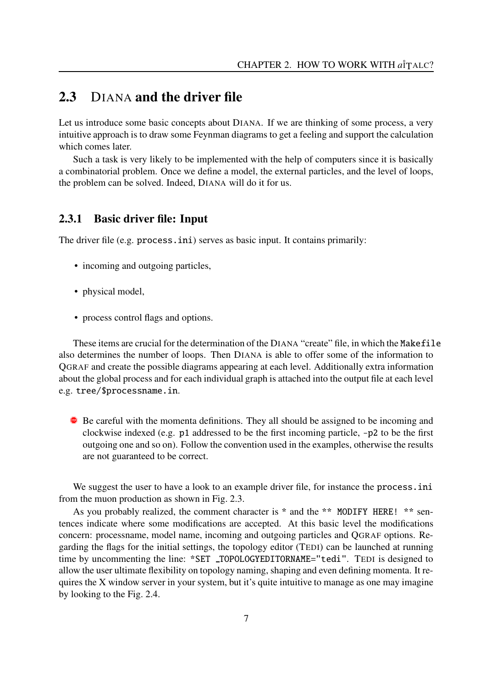#### **2.3** DIANA **and the driver file**

Let us introduce some basic concepts about DIANA. If we are thinking of some process, a very intuitive approach is to draw some Feynman diagrams to get a feeling and support the calculation which comes later.

Such a task is very likely to be implemented with the help of computers since it is basically a combinatorial problem. Once we define a model, the external particles, and the level of loops, the problem can be solved. Indeed, DIANA will do it for us.

#### **2.3.1 Basic driver file: Input**

The driver file (e.g. process.ini) serves as basic input. It contains primarily:

- incoming and outgoing particles,
- physical model,
- process control flags and options.

These items are crucial for the determination of the DIANA "create" file, in which the Makefile also determines the number of loops. Then DIANA is able to offer some of the information to QGRAF and create the possible diagrams appearing at each level. Additionally extra information about the global process and for each individual graph is attached into the output file at each level e.g. tree/\$processname.in.

**•** Be careful with the momenta definitions. They all should be assigned to be incoming and clockwise indexed (e.g. p1 addressed to be the first incoming particle, -p2 to be the first outgoing one and so on). Follow the convention used in the examples, otherwise the results are not guaranteed to be correct.

We suggest the user to have a look to an example driver file, for instance the process.ini from the muon production as shown in Fig. 2.3.

As you probably realized, the comment character is \* and the \*\* MODIFY HERE! \*\* sentences indicate where some modifications are accepted. At this basic level the modifications concern: processname, model name, incoming and outgoing particles and QGRAF options. Regarding the flags for the initial settings, the topology editor (TEDI) can be launched at running time by uncommenting the line: \*SET \_TOPOLOGYEDITORNAME="tedi". TEDI is designed to allow the user ultimate flexibility on topology naming, shaping and even defining momenta. It requires the X window server in your system, but it's quite intuitive to manage as one may imagine by looking to the Fig. 2.4.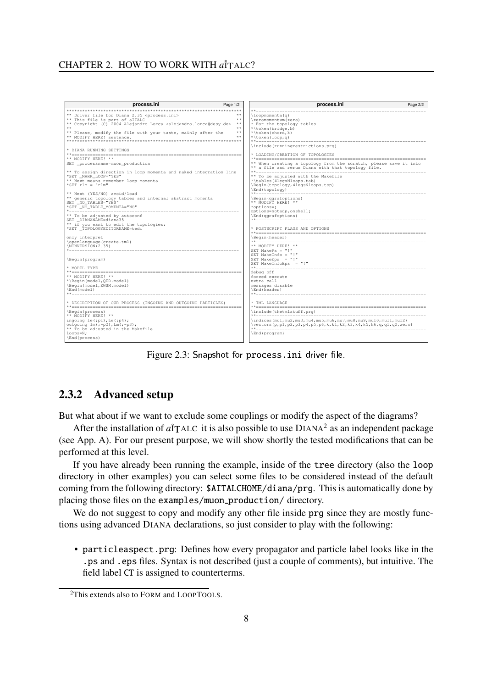

Figure 2.3: Snapshot for process.ini driver file.

#### **2.3.2 Advanced setup**

But what about if we want to exclude some couplings or modify the aspect of the diagrams?

After the installation of  $\vec{a}$ <sup>†</sup>TALC it is also possible to use  $DIANA^2$  as an independent package (see App. A). For our present purpose, we will show shortly the tested modifications that can be performed at this level.

If you have already been running the example, inside of the tree directory (also the loop directory in other examples) you can select some files to be considered instead of the default coming from the following directory: \$AITALCHOME/diana/prg. This is automatically done by placing those files on the examples/muon production/ directory.

We do not suggest to copy and modify any other file inside prg since they are mostly functions using advanced DIANA declarations, so just consider to play with the following:

• particleaspect.prg: Defines how every propagator and particle label looks like in the .ps and .eps files. Syntax is not described (just a couple of comments), but intuitive. The field label CT is assigned to counterterms.

<sup>2</sup>This extends also to FORM and LOOPTOOLS.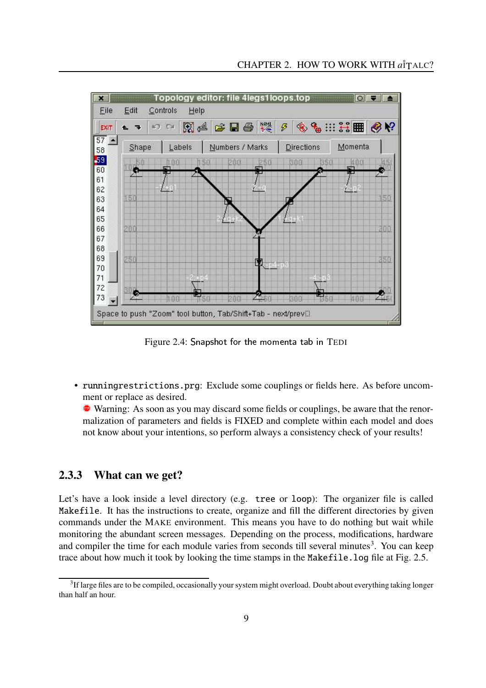

Figure 2.4: Snapshot for the momenta tab in TEDI

• runningrestrictions.prg: Exclude some couplings or fields here. As before uncomment or replace as desired.

• Warning: As soon as you may discard some fields or couplings, be aware that the renormalization of parameters and fields is FIXED and complete within each model and does not know about your intentions, so perform always a consistency check of your results!

#### **2.3.3 What can we get?**

Let's have a look inside a level directory (e.g. tree or loop): The organizer file is called Makefile. It has the instructions to create, organize and fill the different directories by given commands under the MAKE environment. This means you have to do nothing but wait while monitoring the abundant screen messages. Depending on the process, modifications, hardware and compiler the time for each module varies from seconds till several minutes<sup>3</sup>. You can keep trace about how much it took by looking the time stamps in the Makefile.log file at Fig. 2.5.

 $3$ If large files are to be compiled, occasionally your system might overload. Doubt about everything taking longer than half an hour.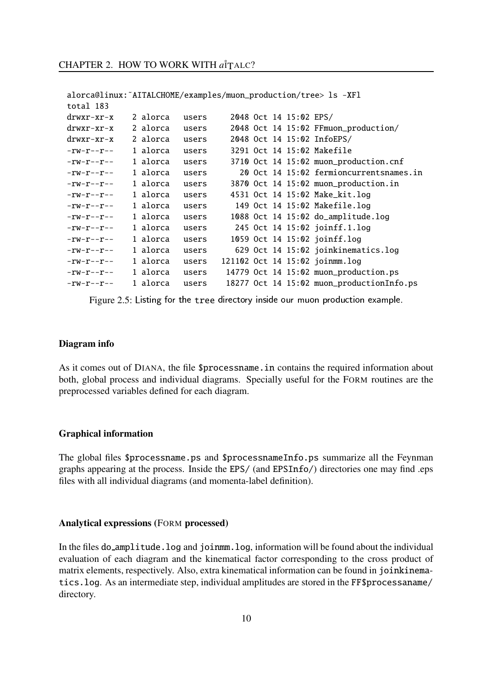```
alorca@linux:˜AITALCHOME/examples/muon_production/tree> ls -XFl
total 183
drwxr-xr-x 2 alorca users 2048 Oct 14 15:02 EPS/
drwxr-xr-x 2 alorca users 2048 Oct 14 15:02 FFmuon_production/
drwxr-xr-x 2 alorca users 2048 Oct 14 15:02 InfoEPS/
-rw-r--r-- 1 alorca users 3291 Oct 14 15:02 Makefile
-rw-r--r-- 1 alorca users 3710 Oct 14 15:02 muon_production.cnf
-rw-r--r-- 1 alorca users 20 Oct 14 15:02 fermioncurrentsnames.in
-rw-r--r-- 1 alorca users 3870 Oct 14 15:02 muon_production.in
-rw-r--r-- 1 alorca users 4531 Oct 14 15:02 Make kit.log
-rw-r--r-- 1 alorca users 149 Oct 14 15:02 Makefile.log
-rw-r--r-- 1 alorca users 1088 Oct 14 15:02 do_amplitude.log
-rw-r--r-- 1 alorca users 245 Oct 14 15:02 joinff.1.log
-rw-r--r-- 1 alorca users 1059 Oct 14 15:02 joinff.log
-rw-r--r-- 1 alorca users 629 Oct 14 15:02 joinkinematics.log
-rw-r--r-- 1 alorca users 121102 Oct 14 15:02 joinmm.log
-rw-r--r-- 1 alorca users 14779 Oct 14 15:02 muon_production.ps
-rw-r--r-- 1 alorca users 18277 Oct 14 15:02 muon_productionInfo.ps
```
Figure 2.5: Listing for the tree directory inside our muon production example.

#### **Diagram info**

As it comes out of DIANA, the file \$processname.in contains the required information about both, global process and individual diagrams. Specially useful for the FORM routines are the preprocessed variables defined for each diagram.

#### **Graphical information**

The global files \$processname.ps and \$processnameInfo.ps summarize all the Feynman graphs appearing at the process. Inside the EPS/ (and EPSInfo/) directories one may find .eps files with all individual diagrams (and momenta-label definition).

#### **Analytical expressions (**FORM **processed)**

In the files do\_amplitude.log and joinmm.log, information will be found about the individual evaluation of each diagram and the kinematical factor corresponding to the cross product of matrix elements, respectively. Also, extra kinematical information can be found in joinkinematics.log. As an intermediate step, individual amplitudes are stored in the FF\$processaname/ directory.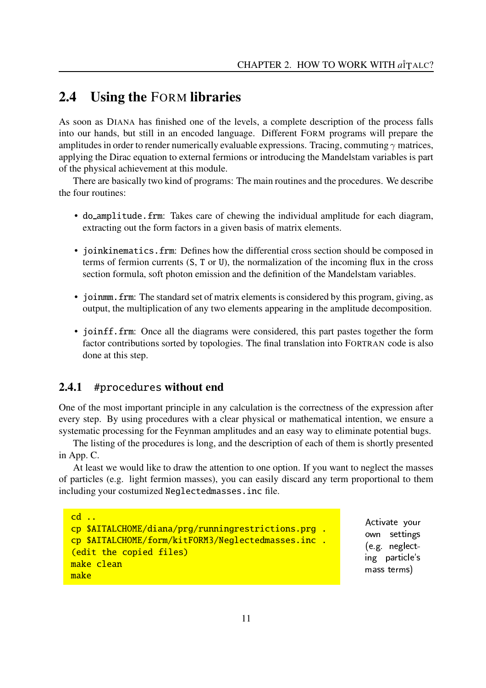#### **2.4 Using the** FORM **libraries**

As soon as DIANA has finished one of the levels, a complete description of the process falls into our hands, but still in an encoded language. Different FORM programs will prepare the amplitudes in order to render numerically evaluable expressions. Tracing, commuting  $\gamma$  matrices, applying the Dirac equation to external fermions or introducing the Mandelstam variables is part of the physical achievement at this module.

There are basically two kind of programs: The main routines and the procedures. We describe the four routines:

- do amplitude.frm: Takes care of chewing the individual amplitude for each diagram, extracting out the form factors in a given basis of matrix elements.
- joinkinematics.frm: Defines how the differential cross section should be composed in terms of fermion currents (S, T or U), the normalization of the incoming flux in the cross section formula, soft photon emission and the definition of the Mandelstam variables.
- joinmm. frm: The standard set of matrix elements is considered by this program, giving, as output, the multiplication of any two elements appearing in the amplitude decomposition.
- joinff.frm: Once all the diagrams were considered, this part pastes together the form factor contributions sorted by topologies. The final translation into FORTRAN code is also done at this step.

#### **2.4.1** #procedures **without end**

One of the most important principle in any calculation is the correctness of the expression after every step. By using procedures with a clear physical or mathematical intention, we ensure a systematic processing for the Feynman amplitudes and an easy way to eliminate potential bugs.

The listing of the procedures is long, and the description of each of them is shortly presented in App. C.

At least we would like to draw the attention to one option. If you want to neglect the masses of particles (e.g. light fermion masses), you can easily discard any term proportional to them including your costumized Neglectedmasses.inc file.

```
cd \ldotscp $AITALCHOME/diana/prg/runningrestrictions.prg .
cp $AITALCHOME/form/kitFORM3/Neglectedmasses.inc .
(edit the copied files)
make clean
make
```
Activate your own settings  $\mathcal{L}$  7Nd  $\mathcal{L}$  7Nd  $\mathcal{L}$  7Nd  $\mathcal{L}$  7Nd  $\mathcal{L}$  7Nd  $\mathcal{L}$  7Nd  $\mathcal{L}$  7Nd  $\mathcal{L}$  7Nd  $\mathcal{L}$  7Nd  $\mathcal{L}$  7Nd  $\mathcal{L}$  7Nd  $\mathcal{L}$  7Nd  $\mathcal{L}$  7Nd  $\mathcal{L}$  7Nd  $\mathcal{L}$  7Nd  $\mathcal{L}$  7Nd  $\mathcal{L}$  7Nd ing particle's mass terms)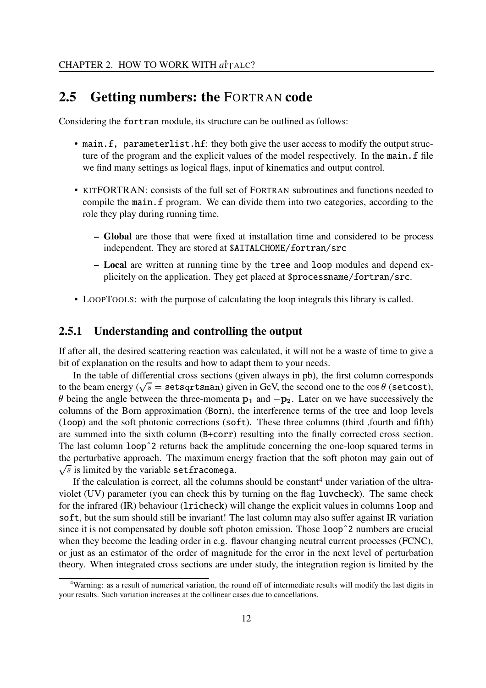#### **2.5 Getting numbers: the** FORTRAN **code**

Considering the fortran module, its structure can be outlined as follows:

- main.f, parameterlist.hf: they both give the user access to modify the output structure of the program and the explicit values of the model respectively. In the main. f file we find many settings as logical flags, input of kinematics and output control.
- KITFORTRAN: consists of the full set of FORTRAN subroutines and functions needed to compile the main.f program. We can divide them into two categories, according to the role they play during running time.
	- **– Global** are those that were fixed at installation time and considered to be process independent. They are stored at \$AITALCHOME/fortran/src
	- **– Local** are written at running time by the tree and loop modules and depend explicitely on the application. They get placed at \$processname/fortran/src.
- LOOPTOOLS: with the purpose of calculating the loop integrals this library is called.

#### **2.5.1 Understanding and controlling the output**

If after all, the desired scattering reaction was calculated, it will not be a waste of time to give a bit of explanation on the results and how to adapt them to your needs.

In the table of differential cross sections (given always in pb), the first column corresponds to the beam energy ( $\sqrt{s}$  = setsgrtsman) given in GeV, the second one to the  $\cos \theta$  (setcost),  $\theta$  being the angle between the three-momenta  $\mathbf{p}_1$  and  $-\mathbf{p}_2$ . Later on we have successively the columns of the Born approximation (Born), the interference terms of the tree and loop levels (loop) and the soft photonic corrections (soft). These three columns (third ,fourth and fifth) are summed into the sixth column (B+corr) resulting into the finally corrected cross section. The last column loopˆ2 returns back the amplitude concerning the one-loop squared terms in the perturbative approach. The maximum energy fraction that the soft photon may gain out of  $\sqrt{s}$  is limited by the variable setfracomega.

If the calculation is correct, all the columns should be constant<sup>4</sup> under variation of the ultraviolet (UV) parameter (you can check this by turning on the flag luvcheck). The same check for the infrared (IR) behaviour (lricheck) will change the explicit values in columns loop and soft, but the sum should still be invariant! The last column may also suffer against IR variation since it is not compensated by double soft photon emission. Those loop<sup> $\hat{ }$ </sup> 2 numbers are crucial when they become the leading order in e.g. flavour changing neutral current processes (FCNC), or just as an estimator of the order of magnitude for the error in the next level of perturbation theory. When integrated cross sections are under study, the integration region is limited by the

<sup>4</sup>Warning: as a result of numerical variation, the round off of intermediate results will modify the last digits in your results. Such variation increases at the collinear cases due to cancellations.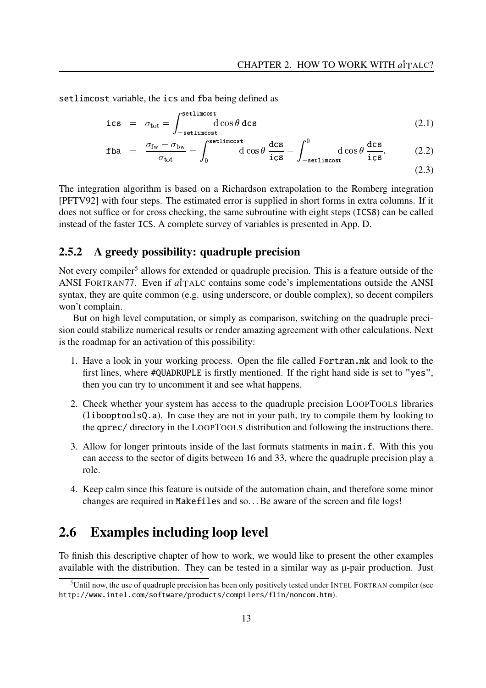setlimcost variable, the ics and fba being defined as

$$
\text{ics} = \sigma_{\text{tot}} = \int_{-\text{setlincost}}^{\text{setlincost}} d \cos \theta \, d \text{cs}
$$
 (2.1)

$$
\text{fba} = \frac{\sigma_{\text{fw}} - \sigma_{\text{bw}}}{\sigma_{\text{tot}}} = \int_0^{\text{setlincost}} \text{d}\cos\theta \, \frac{\text{dcs}}{\text{ics}} - \int_{-\text{setlincost}}^0 \text{d}\cos\theta \, \frac{\text{dcs}}{\text{ics}}.
$$
 (2.2)

$$
(2.3)
$$

The integration algorithm is based on a Richardson extrapolation to the Romberg integration [PFTV92] with four steps. The estimated error is supplied in short forms in extra columns. If it does not suffice or for cross checking, the same subroutine with eight steps (ICS8) can be called instead of the faster ICS. A complete survey of variables is presented in App. D.

#### **2.5.2 A greedy possibility: quadruple precision**

Not every compiler<sup>5</sup> allows for extended or quadruple precision. This is a feature outside of the ANSI FORTRAN<sub>77</sub>. Even if  $a\overset{\dagger}{T}$ ALC contains some code's implementations outside the ANSI syntax, they are quite common (e.g. using underscore, or double complex), so decent compilers won't complain.

But on high level computation, or simply as comparison, switching on the quadruple precision could stabilize numerical results or render amazing agreement with other calculations. Next is the roadmap for an activation of this possibility:

- 1. Have a look in your working process. Open the file called Fortran.mk and look to the first lines, where #QUADRUPLE is firstly mentioned. If the right hand side is set to "yes", then you can try to uncomment it and see what happens.
- 2. Check whether your system has access to the quadruple precision LOOPTOOLS libraries (libooptoolsQ.a). In case they are not in your path, try to compile them by looking to the qprec/ directory in the LOOPTOOLS distribution and following the instructions there.
- 3. Allow for longer printouts inside of the last formats statments in main.f. With this you can access to the sector of digits between 16 and 33, where the quadruple precision play a role.
- 4. Keep calm since this feature is outside of the automation chain, and therefore some minor changes are required in Makefiles and so. . .Be aware of the screen and file logs!

#### **2.6 Examples including loop level**

To finish this descriptive chapter of how to work, we would like to present the other examples available with the distribution. They can be tested in a similar way as  $\mu$ -pair production. Just

<sup>5</sup>Until now, the use of quadruple precision has been only positively tested under INTEL FORTRAN compiler (see http://www.intel.com/software/products/compilers/flin/noncom.htm).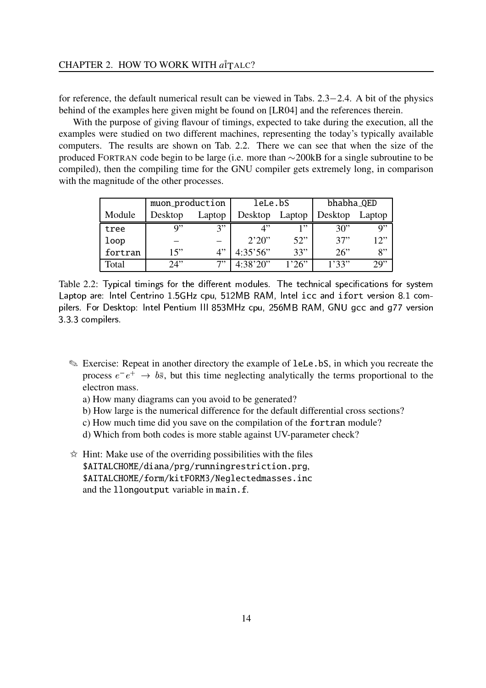for reference, the default numerical result can be viewed in Tabs.  $2.3-2.4$ . A bit of the physics behind of the examples here given might be found on [LR04] and the references therein.

With the purpose of giving flavour of timings, expected to take during the execution, all the examples were studied on two different machines, representing the today's typically available computers. The results are shown on Tab. 2.2. There we can see that when the size of the produced FORTRAN code begin to be large (i.e. more than  $\sim$  200kB for a single subroutine to be compiled), then the compiling time for the GNU compiler gets extremely long, in comparison with the magnitude of the other processes.

|         | muon_production |        | leLe.bS      |        | bhabha_QED |        |
|---------|-----------------|--------|--------------|--------|------------|--------|
| Module  | Desktop         | Laptop | Desktop      | Laptop | Desktop    | Laptop |
| tree    | a"              | 3"     | $\varLambda$ | 1"     | 30"        | Q''    |
| loop    |                 |        | 2'20''       | 52"    | 37"        | 12"    |
| fortran | 15"             | 4"     | 4:35'56"     | 33"    | 26"        | 8"     |
| Total   | 24"             | 7"     | 4:38'20"     | 1'26"  | 1'33"      | 29     |

Table 2.2: Typical timings for the different modules. The technical specifications for system <sup>³</sup> CfXI58KLXYC:VW7aê;ëì9I587RE entrino 1.5GHz cpu, 512MB RAM, Intel icc and ifort version 8.1 com-Xa?AE 7:VWBd1:KfV - - - - - - - - - - - - - esktop: Intel Pentium III 853MHz cpu, 256MB RAM, GNU gcc and g77 version 3.3.3 compilers.

- ✎ Exercise: Repeat in another directory the example of leLe.bS, in which you recreate the process  $e^-e^+ \rightarrow b\bar{s}$ , but this time neglecting analytically the terms proportional to the electron mass.
	- a) How many diagrams can you avoid to be generated?
	- b) How large is the numerical difference for the default differential cross sections?
	- c) How much time did you save on the compilation of the fortran module?
	- d) Which from both codes is more stable against UV-parameter check?
- $\hat{\varphi}$  Hint: Make use of the overriding possibilities with the files \$AITALCHOME/diana/prg/runningrestriction.prg, \$AITALCHOME/form/kitFORM3/Neglectedmasses.inc and the llongoutput variable in main.f.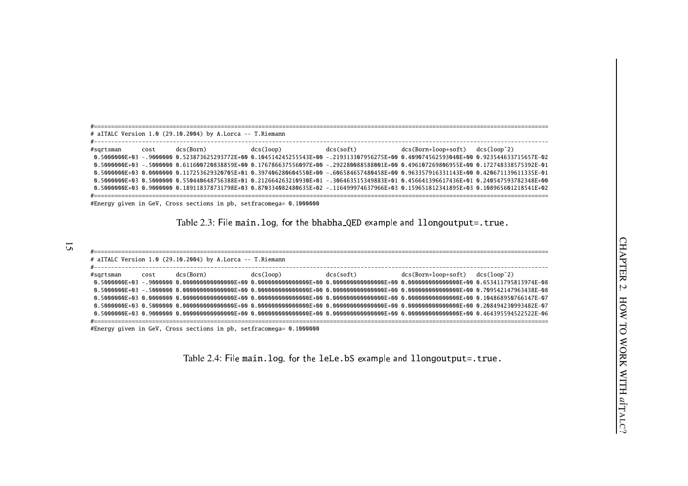|                | # aITALC Version 1.0 (29.10.2004) by A.Lorca -- T.Riemann           |                                                                                                                                                          |                                     |  |
|----------------|---------------------------------------------------------------------|----------------------------------------------------------------------------------------------------------------------------------------------------------|-------------------------------------|--|
|                |                                                                     |                                                                                                                                                          |                                     |  |
| #sqrtsman cost | dcs(Born)      dcs(loop)      dcs(soft)                             |                                                                                                                                                          | $dcs(Born+loop+soft)$ $dcs(loop^2)$ |  |
|                |                                                                     | 0.50000000E+03 -.9000000 0.523873625293772E+00 0.104514245255543E+00 -.219313307956275E+00 0.409074562593040E+00 0.923544633715657E                      |                                     |  |
|                |                                                                     | 0.176736275392753928-00 0.496107269806955E+00 0.1777883859E+00 0.176786637556097E+00 -.292280088588001E+00 0.496107269806955E+00 0.172748338575392E-01 . |                                     |  |
|                |                                                                     | 0.5000000E+03 0.0000000 0.117253629320705E+01 0.397406280604550E+00 -.606584657480458E+00 0.963357916331143E+00 0.420671139611335E-01                    |                                     |  |
|                |                                                                     | 0.550440648756388E+01 0.212664263210930E+01 - 306463515349883E+01 0.456641396617436E+01 0.240547593782348E+00                                            |                                     |  |
|                |                                                                     | 0.5000000E+03 0.9000000 0.189118378731798E+03 0.870334082480635E+02 -.116499974637966E+03 0.159651812341895E+03 0.108965601218541E+02                    |                                     |  |
|                |                                                                     |                                                                                                                                                          |                                     |  |
|                | #Energy given in GeV, Cross sections in pb, setfracomega= 0.1000000 |                                                                                                                                                          |                                     |  |

Table 2.3: ýþÿmain.log - bhabha QED ÿ llongoutput=.true.

|                               |      | # aITALC Version 1.0 (29.10.2004) by A.Lorca -- T.Riemann |           |           |                                     |  |
|-------------------------------|------|-----------------------------------------------------------|-----------|-----------|-------------------------------------|--|
| #---------------------------- |      |                                                           |           |           |                                     |  |
| #sqrtsman                     | cost | dcs (Born)                                                | dcs(loop) | dcs(soft) | $dcs(Born+loop+soft)$ $dcs(loop^2)$ |  |
|                               |      |                                                           |           |           |                                     |  |
|                               |      |                                                           |           |           |                                     |  |
|                               |      |                                                           |           |           |                                     |  |
|                               |      |                                                           |           |           |                                     |  |
|                               |      |                                                           |           |           |                                     |  |
|                               |      |                                                           |           |           |                                     |  |

#Energy given in GeV, Cross sections in pb, setfracomega= 0.1000000

Table 2.4: ýþÿmain.log - leLe.bS ÿ llongoutput=.true.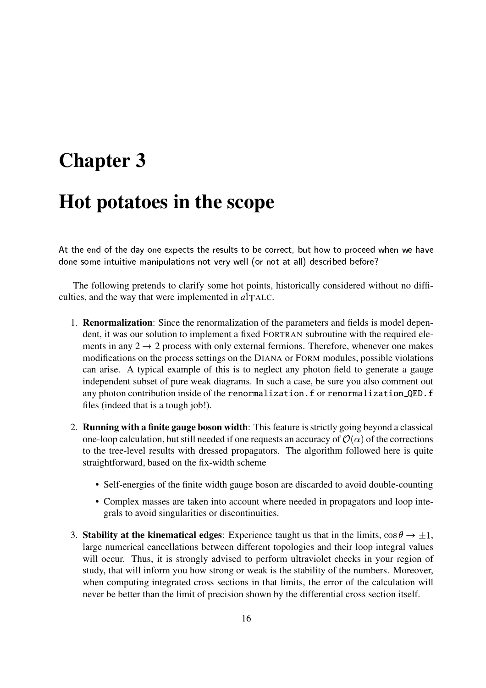# **Chapter 3**

## **Hot potatoes in the scope**

 $\mathcal{F}_\mathcal{B}$  and  $\mathcal{F}_\mathcal{B}$  is the set of  $\mathcal{F}_\mathcal{B}$  is the set of  $\mathcal{F}_\mathcal{B}$  is the set of  $\mathcal{F}_\mathcal{B}$  $\mathbf{f}(\mathbf{r})=\mathbf{f}(\mathbf{r})$ 

The following pretends to clarify some hot points, historically considered without no difficulties, and the way that were implemented in  $\hat{a}^{\dagger}$ TALC.

- 1. **Renormalization**: Since the renormalization of the parameters and fields is model dependent, it was our solution to implement a fixed FORTRAN subroutine with the required elements in any  $2 \rightarrow 2$  process with only external fermions. Therefore, whenever one makes modifications on the process settings on the DIANA or FORM modules, possible violations can arise. A typical example of this is to neglect any photon field to generate a gauge independent subset of pure weak diagrams. In such a case, be sure you also comment out any photon contribution inside of the renormalization.f or renormalization QED.f files (indeed that is a tough job!).
- 2. **Running with a finite gauge boson width**: Thisfeature isstrictly going beyond a classical one-loop calculation, but still needed if one requests an accuracy of  $\mathcal{O}(\alpha)$  of the corrections to the tree-level results with dressed propagators. The algorithm followed here is quite straightforward, based on the fix-width scheme
	- Self-energies of the finite width gauge boson are discarded to avoid double-counting
	- Complex masses are taken into account where needed in propagators and loop integrals to avoid singularities or discontinuities.
- 3. **Stability at the kinematical edges:** Experience taught us that in the limits,  $\cos \theta \rightarrow \pm 1$ , large numerical cancellations between different topologies and their loop integral values will occur. Thus, it is strongly advised to perform ultraviolet checks in your region of study, that will inform you how strong or weak is the stability of the numbers. Moreover, when computing integrated cross sections in that limits, the error of the calculation will never be better than the limit of precision shown by the differential cross section itself.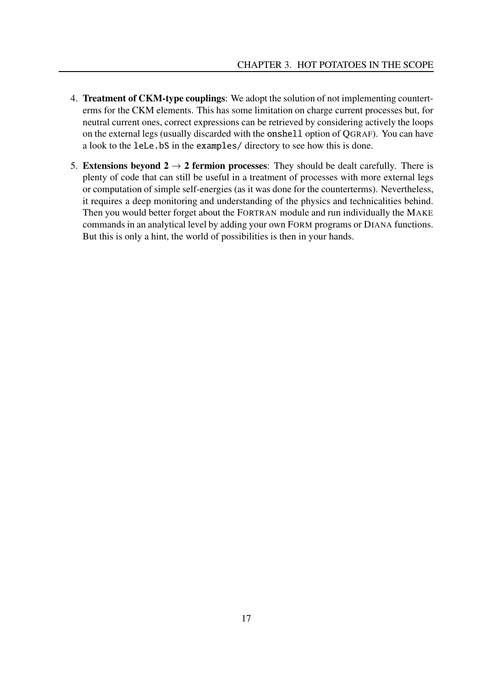- 4. **Treatment of CKM-type couplings**: We adopt the solution of not implementing counterterms for the CKM elements. This has some limitation on charge current processes but, for neutral current ones, correct expressions can be retrieved by considering actively the loops on the external legs (usually discarded with the onshell option of QGRAF). You can have a look to the leLe.bS in the examples/ directory to see how this is done.
- 5. **Extensions beyond 2**  $\rightarrow$  **2 fermion processes**: They should be dealt carefully. There is plenty of code that can still be useful in a treatment of processes with more external legs or computation of simple self-energies (as it was done for the counterterms). Nevertheless, it requires a deep monitoring and understanding of the physics and technicalities behind. Then you would better forget about the FORTRAN module and run individually the MAKE commands in an analytical level by adding your own FORM programs or DIANA functions. But this is only a hint, the world of possibilities is then in your hands.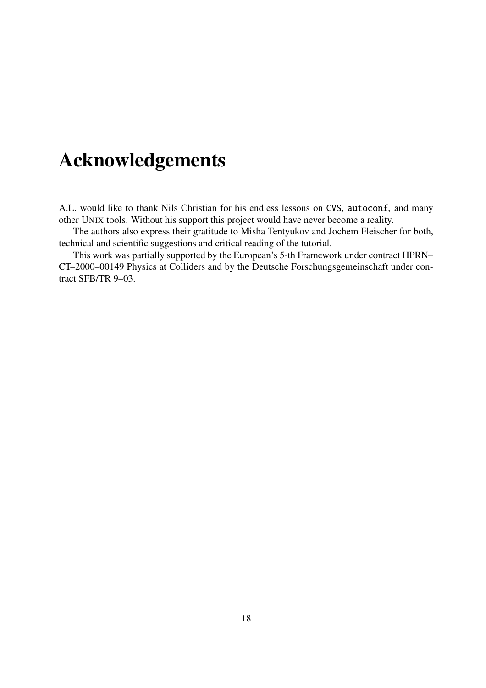# **Acknowledgements**

A.L. would like to thank Nils Christian for his endless lessons on CVS, autoconf, and many other UNIX tools. Without his support this project would have never become a reality.

The authors also express their gratitude to Misha Tentyukov and Jochem Fleischer for both, technical and scientific suggestions and critical reading of the tutorial.

This work was partially supported by the European's 5-th Framework under contract HPRN– CT–2000–00149 Physics at Colliders and by the Deutsche Forschungsgemeinschaft under contract SFB/TR 9–03.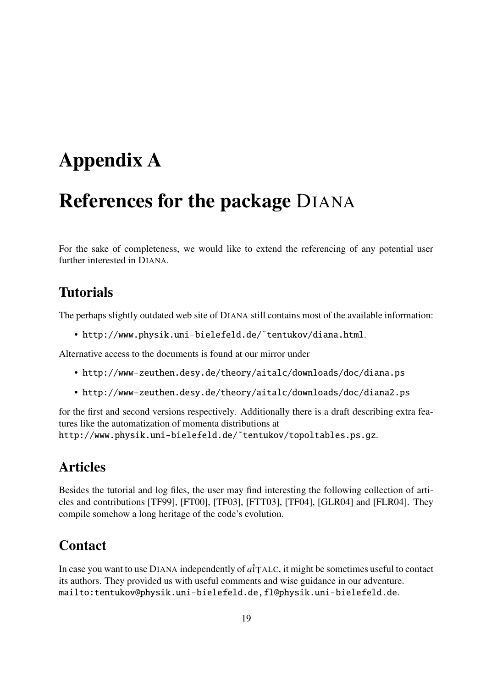# **Appendix A**

## **References for the package** DIANA

For the sake of completeness, we would like to extend the referencing of any potential user further interested in DIANA.

### **Tutorials**

The perhaps slightly outdated web site of DIANA still contains most of the available information:

• http://www.physik.uni-bielefeld.de/˜tentukov/diana.html.

Alternative access to the documents is found at our mirror under

- http://www-zeuthen.desy.de/theory/aitalc/downloads/doc/diana.ps
- http://www-zeuthen.desy.de/theory/aitalc/downloads/doc/diana2.ps

for the first and second versions respectively. Additionally there is a draft describing extra features like the automatization of momenta distributions at http://www.physik.uni-bielefeld.de/˜tentukov/topoltables.ps.gz.

### **Articles**

Besides the tutorial and log files, the user may find interesting the following collection of articles and contributions [TF99], [FT00], [TF03], [FTT03], [TF04], [GLR04] and [FLR04]. They compile somehow a long heritage of the code's evolution.

### **Contact**

In case you want to use DIANA independently of  $\hat{a}$ <sup>†</sup>TALC, it might be sometimes useful to contact its authors. They provided us with useful comments and wise guidance in our adventure. mailto:tentukov@physik.uni-bielefeld.de,fl@physik.uni-bielefeld.de.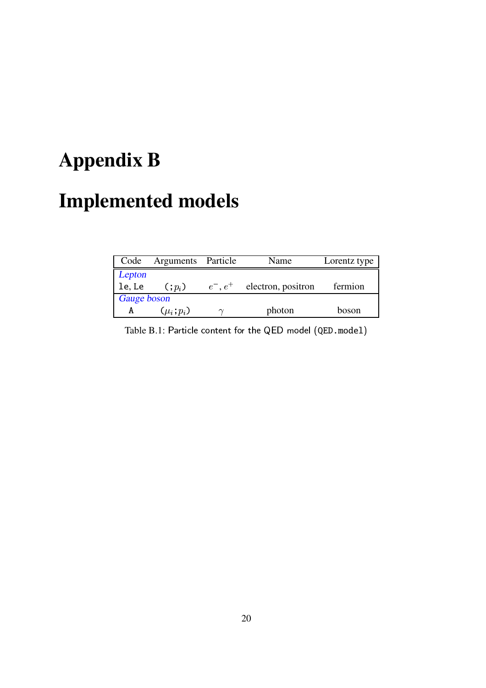# **Appendix B**

# **Implemented models**

| Code        | Arguments Particle |            | Name               | Lorentz type |
|-------------|--------------------|------------|--------------------|--------------|
| Lepton      |                    |            |                    |              |
| le, Le      | $(:,p_i)$          | $e^-, e^+$ | electron, positron | fermion      |
| Gauge boson |                    |            |                    |              |
| А           | $(\mu_i; p_i)$     | $\sim$     | photon             | boson        |

Table B.1: Particle content for the QED model  $(\mathtt{QED.model})$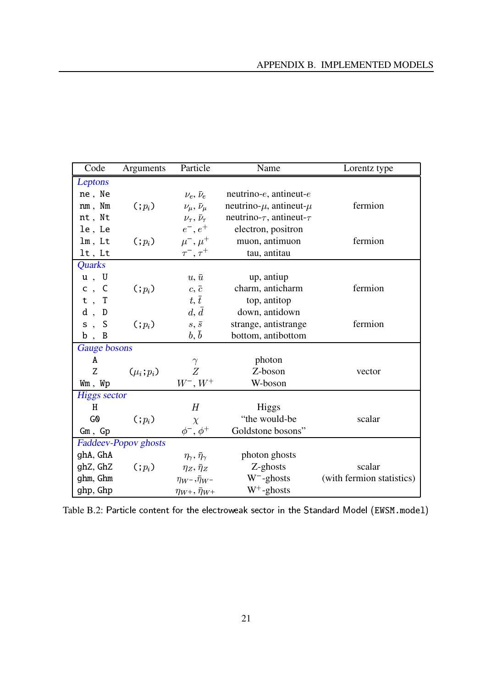| Code                | Arguments                   | Particle                             | Name                                | Lorentz type              |
|---------------------|-----------------------------|--------------------------------------|-------------------------------------|---------------------------|
| Leptons             |                             |                                      |                                     |                           |
| ne, Ne              |                             | $\nu_e, \bar{\nu}_e$                 | neutrino- $e$ , antineut- $e$       |                           |
| nm, Nm              | $($ ; $p_i$ )               | $\nu_\mu, \bar{\nu}_\mu$             | neutrino- $\mu$ , antineut- $\mu$   | fermion                   |
| nt, Nt              |                             | $\nu_{\tau},\,\bar{\nu}_{\tau}$      | neutrino- $\tau$ , antineut- $\tau$ |                           |
| le, Le              |                             | $e^{-}, e^{+}$                       | electron, positron                  |                           |
| $lm$ , $Lt$         | $($ ; $p_i$ )               | $\mu^{-}, \mu^{+}$                   | muon, antimuon                      | fermion                   |
| $lt$ , $Lt$         |                             | $\tau^-, \tau^+$                     | tau, antitau                        |                           |
| <b>Quarks</b>       |                             |                                      |                                     |                           |
| u, U                |                             | $u, \bar{u}$                         | up, antiup                          |                           |
| c, C                | $($ ; $p_i$ )               | $c, \bar{c}$                         | charm, anticharm                    | fermion                   |
| $t$ , T             |                             | $t, \bar{t}$                         | top, antitop                        |                           |
| $d$ ,<br>D          |                             | $d, \overline{d}$                    | down, antidown                      |                           |
| s, S                | $($ ; $p_i$ )               | $s,\,\bar s$                         | strange, antistrange                | fermion                   |
| b, B                |                             | b, b                                 | bottom, antibottom                  |                           |
| <b>Gauge</b> bosons |                             |                                      |                                     |                           |
| A                   |                             | $\gamma$                             | photon                              |                           |
| Z                   | $(\mu_i; p_i)$              | Z                                    | Z-boson                             | vector                    |
| Wm, Wp              |                             | $W^{-}, W^{+}$                       | W-boson                             |                           |
| <b>Higgs sector</b> |                             |                                      |                                     |                           |
| H                   |                             | H                                    | Higgs                               |                           |
| G <sub>0</sub>      | $($ ; $p_i$ )               | $\chi$                               | "the would-be                       | scalar                    |
| $Gm$ , $Gp$         |                             | $\phi^-,\,\phi^+$                    | Goldstone bosons"                   |                           |
|                     | <b>Faddeev-Popov</b> ghosts |                                      |                                     |                           |
| ghA, GhA            |                             | $\eta_{\gamma}, \bar{\eta}_{\gamma}$ | photon ghosts                       |                           |
| ghZ, GhZ            | $( ; p_i)$                  | $\eta_Z, \bar{\eta}_Z$               | $Z$ -ghosts                         | scalar                    |
| ghm, Ghm            |                             | $\eta_W$ -, $\bar{\eta}_W$ -         | $W^-$ -ghosts                       | (with fermion statistics) |
| ghp, Ghp            |                             | $\eta_{W^+}, \bar{\eta}_{W^+}$       | $W^+$ -ghosts                       |                           |

Table B.2: Particle content for the electroweak sector in the Standard Model (EWSM.model)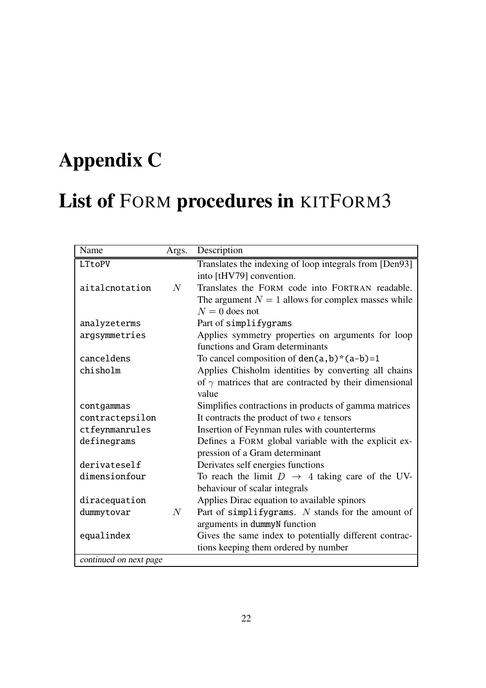# **Appendix C**

# **List of** FORM **procedures in** KITFORM3

| Name                   | Args. | Description                                                   |
|------------------------|-------|---------------------------------------------------------------|
| LTtoPV                 |       | Translates the indexing of loop integrals from [Den93]        |
|                        |       | into [tHV79] convention.                                      |
| aitalcnotation         | N     | Translates the FORM code into FORTRAN readable.               |
|                        |       | The argument $N = 1$ allows for complex masses while          |
|                        |       | $N = 0$ does not                                              |
| analyzeterms           |       | Part of simplifygrams                                         |
| argsymmetries          |       | Applies symmetry properties on arguments for loop             |
|                        |       | functions and Gram determinants                               |
| canceldens             |       | To cancel composition of $den(a, b) * (a-b)=1$                |
| chisholm               |       | Applies Chisholm identities by converting all chains          |
|                        |       | of $\gamma$ matrices that are contracted by their dimensional |
|                        |       | value                                                         |
| contgammas             |       | Simplifies contractions in products of gamma matrices         |
| contractepsilon        |       | It contracts the product of two $\epsilon$ tensors            |
| ctfeynmanrules         |       | Insertion of Feynman rules with counterterms                  |
| definegrams            |       | Defines a FORM global variable with the explicit ex-          |
|                        |       | pression of a Gram determinant                                |
| derivateself           |       | Derivates self energies functions                             |
| dimensionfour          |       | To reach the limit $D \rightarrow 4$ taking care of the UV-   |
|                        |       | behaviour of scalar integrals                                 |
| diracequation          |       | Applies Dirac equation to available spinors                   |
| dummytovar             | N     | Part of simplifygrams. $N$ stands for the amount of           |
|                        |       | arguments in dummyN function                                  |
| equalindex             |       | Gives the same index to potentially different contrac-        |
|                        |       | tions keeping them ordered by number                          |
| continued on next page |       |                                                               |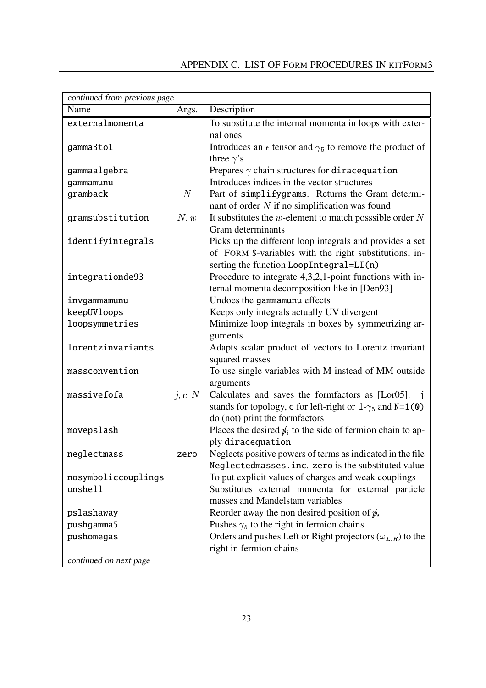| continued from previous page |         |                                                                         |
|------------------------------|---------|-------------------------------------------------------------------------|
| Name                         | Args.   | Description                                                             |
| externalmomenta              |         | To substitute the internal momenta in loops with exter-                 |
|                              |         | nal ones                                                                |
| gamma3to1                    |         | Introduces an $\epsilon$ tensor and $\gamma_5$ to remove the product of |
|                              |         | three $\gamma$ 's                                                       |
| gammaalgebra                 |         | Prepares $\gamma$ chain structures for diracequation                    |
| gammamunu                    |         | Introduces indices in the vector structures                             |
| gramback                     | N       | Part of simplifygrams. Returns the Gram determi-                        |
|                              |         | nant of order $N$ if no simplification was found                        |
| gramsubstitution             | N, w    | It substitutes the $w$ -element to match posssible order $N$            |
|                              |         | Gram determinants                                                       |
| identifyintegrals            |         | Picks up the different loop integrals and provides a set                |
|                              |         | of FORM \$-variables with the right substitutions, in-                  |
|                              |         | serting the function LoopIntegral=LI(n)                                 |
| integrationde93              |         | Procedure to integrate $4,3,2,1$ -point functions with in-              |
|                              |         | ternal momenta decomposition like in [Den93]                            |
| invgammamunu                 |         | Undoes the gammamunu effects                                            |
| keepUVloops                  |         | Keeps only integrals actually UV divergent                              |
| loopsymmetries               |         | Minimize loop integrals in boxes by symmetrizing ar-                    |
|                              |         | guments                                                                 |
| lorentzinvariants            |         | Adapts scalar product of vectors to Lorentz invariant                   |
|                              |         | squared masses                                                          |
| massconvention               |         | To use single variables with M instead of MM outside                    |
|                              |         | arguments                                                               |
| massivefofa                  | j, c, N | Calculates and saves the formfactors as [Lor05]. j                      |
|                              |         | stands for topology, c for left-right or $1-\gamma_5$ and $N=1$ (0)     |
|                              |         | do (not) print the formfactors                                          |
| movepslash                   |         | Places the desired $\psi_i$ to the side of fermion chain to ap-         |
|                              |         | ply diracequation                                                       |
| neglectmass                  | zero    | Neglects positive powers of terms as indicated in the file              |
|                              |         | Neglectedmasses.inc. zero is the substituted value                      |
| nosymboliccouplings          |         | To put explicit values of charges and weak couplings                    |
| onshell                      |         | Substitutes external momenta for external particle                      |
|                              |         | masses and Mandelstam variables                                         |
| pslashaway                   |         | Reorder away the non desired position of $\hat{p}_i$                    |
| pushgamma5                   |         | Pushes $\gamma_5$ to the right in fermion chains                        |
| pushomegas                   |         | Orders and pushes Left or Right projectors ( $\omega_{L,R}$ ) to the    |
|                              |         | right in fermion chains                                                 |
| continued on next page       |         |                                                                         |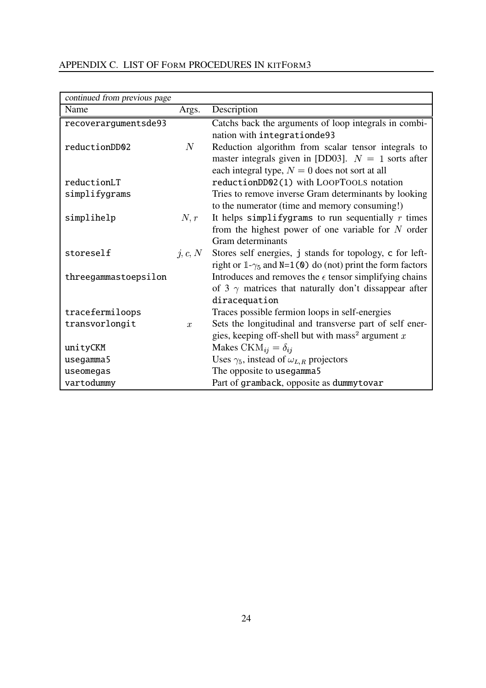| continued from previous page |               |                                                                  |  |  |  |
|------------------------------|---------------|------------------------------------------------------------------|--|--|--|
| Name                         | Args.         | Description                                                      |  |  |  |
| recoverargumentsde93         |               | Catchs back the arguments of loop integrals in combi-            |  |  |  |
|                              |               | nation with integrationde93                                      |  |  |  |
| reductionDD02                | $N_{\rm}$     | Reduction algorithm from scalar tensor integrals to              |  |  |  |
|                              |               | master integrals given in [DD03]. $N = 1$ sorts after            |  |  |  |
|                              |               | each integral type, $N = 0$ does not sort at all                 |  |  |  |
| reductionLT                  |               | reductionDD02(1) with LOOPTOOLS notation                         |  |  |  |
| simplifygrams                |               | Tries to remove inverse Gram determinants by looking             |  |  |  |
|                              |               | to the numerator (time and memory consuming!)                    |  |  |  |
| simplihelp                   | N,r           | It helps simplifygrams to run sequentially $r$ times             |  |  |  |
|                              |               | from the highest power of one variable for $N$ order             |  |  |  |
|                              |               | Gram determinants                                                |  |  |  |
| storeself                    | j, c, N       | Stores self energies, j stands for topology, c for left-         |  |  |  |
|                              |               | right or $1-\gamma_5$ and N=1(0) do (not) print the form factors |  |  |  |
| threegammastoepsilon         |               | Introduces and removes the $\epsilon$ tensor simplifying chains  |  |  |  |
|                              |               | of 3 $\gamma$ matrices that naturally don't dissappear after     |  |  |  |
|                              |               | diracequation                                                    |  |  |  |
| tracefermiloops              |               | Traces possible fermion loops in self-energies                   |  |  |  |
| transvorlongit               | $\mathcal{X}$ | Sets the longitudinal and transverse part of self ener-          |  |  |  |
|                              |               | gies, keeping off-shell but with mass <sup>2</sup> argument x    |  |  |  |
| unityCKM                     |               | Makes CK $M_{ij} = \delta_{ij}$                                  |  |  |  |
| usegamma5                    |               | Uses $\gamma_5$ , instead of $\omega_{L,R}$ projectors           |  |  |  |
| useomegas                    |               | The opposite to usegamma5                                        |  |  |  |
| vartodummy                   |               | Part of gramback, opposite as dummytovar                         |  |  |  |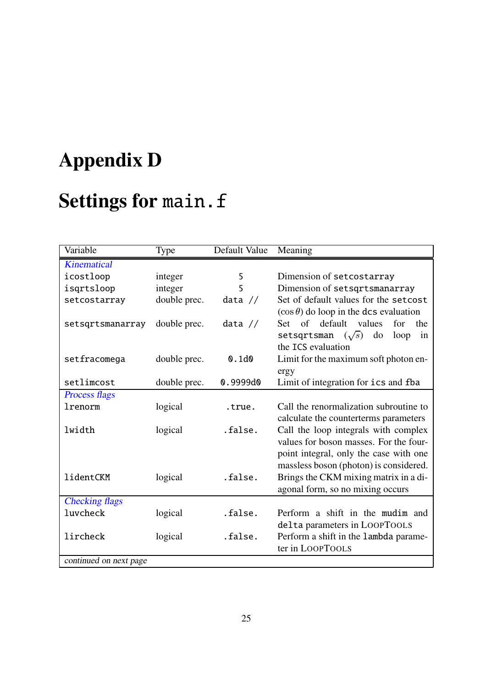# **Appendix D**

# **Settings for** main.f

| Variable               | Type         | Default Value | Meaning                                       |
|------------------------|--------------|---------------|-----------------------------------------------|
| <b>Kinematical</b>     |              |               |                                               |
| icostloop              | integer      | 5             | Dimension of setcostarray                     |
| isgrtsloop             | integer      | 5             | Dimension of setsqrtsmanarray                 |
| setcostarray           | double prec. | data $//$     | Set of default values for the set cost        |
|                        |              |               | $(\cos \theta)$ do loop in the dcs evaluation |
| setsqrtsmanarray       | double prec. | data $//$     | default<br>values<br>of<br>Set<br>for<br>the  |
|                        |              |               | do<br>setsqrtsman $(\sqrt{s})$<br>loop<br>in  |
|                        |              |               | the ICS evaluation                            |
| setfracomega           | double prec. | 0.1d0         | Limit for the maximum soft photon en-         |
|                        |              |               | ergy                                          |
| setlimcost             | double prec. | 0.9999d0      | Limit of integration for ics and fba          |
| <b>Process flags</b>   |              |               |                                               |
| lrenorm                | logical      | .true.        | Call the renormalization subroutine to        |
|                        |              |               | calculate the counterterms parameters         |
| lwidth                 | logical      | .false.       | Call the loop integrals with complex          |
|                        |              |               | values for boson masses. For the four-        |
|                        |              |               | point integral, only the case with one        |
|                        |              |               | massless boson (photon) is considered.        |
| lidentCKM              | logical      | .false.       | Brings the CKM mixing matrix in a di-         |
|                        |              |               | agonal form, so no mixing occurs              |
| <b>Checking flags</b>  |              |               |                                               |
| luvcheck               | logical      | .false.       | Perform a shift in the mudim and              |
|                        |              |               | delta parameters in LOOPTOOLS                 |
| lircheck               | logical      | .false.       | Perform a shift in the lambda parame-         |
|                        |              |               | ter in LOOPTOOLS                              |
| continued on next page |              |               |                                               |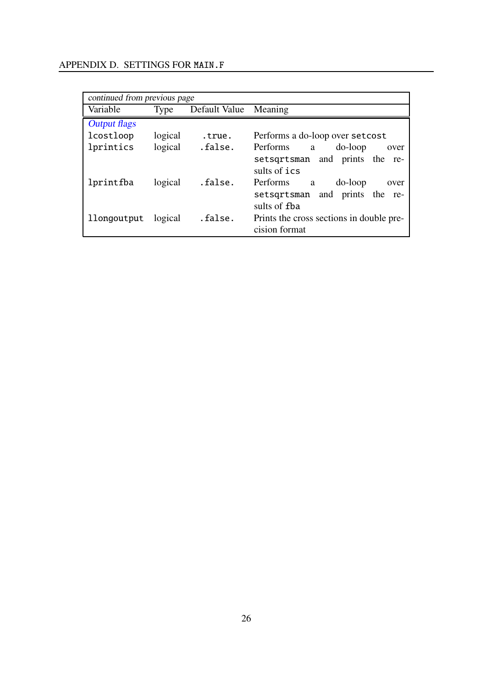| continued from previous page |         |                       |                                          |  |  |  |
|------------------------------|---------|-----------------------|------------------------------------------|--|--|--|
| Variable                     | Type    | Default Value Meaning |                                          |  |  |  |
| <b>Output flags</b>          |         |                       |                                          |  |  |  |
| lcostloop                    | logical | .true.                | Performs a do-loop over set cost         |  |  |  |
| lprintics                    | logical | .false.               | Performs<br>do-loop<br>a a<br>over       |  |  |  |
|                              |         |                       | setsqrtsman and prints the re-           |  |  |  |
|                              |         |                       | sults of ics                             |  |  |  |
| lprintfba                    | logical | .false.               | Performs<br>do-loop<br>a<br>over         |  |  |  |
|                              |         |                       | setsqrtsman and prints the re-           |  |  |  |
|                              |         |                       | sults of fba                             |  |  |  |
| llongoutput                  | logical | .false.               | Prints the cross sections in double pre- |  |  |  |
|                              |         |                       | cision format                            |  |  |  |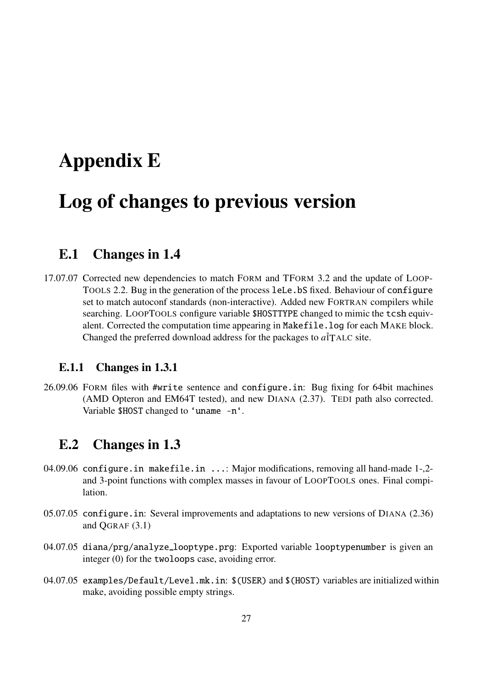## **Appendix E**

## **Log of changes to previous version**

#### **E.1 Changes in 1.4**

17.07.07 Corrected new dependencies to match FORM and TFORM 3.2 and the update of LOOP-TOOLS 2.2. Bug in the generation of the process leLe.bS fixed. Behaviour of configure set to match autoconf standards (non-interactive). Added new FORTRAN compilers while searching. LOOPTOOLS configure variable \$HOSTTYPE changed to mimic the tcsh equivalent. Corrected the computation time appearing in Makefile.log for each MAKE block. Changed the preferred download address for the packages to  $a\hat{i}$ TALC site.

#### **E.1.1 Changes in 1.3.1**

26.09.06 FORM files with #write sentence and configure.in: Bug fixing for 64bit machines (AMD Opteron and EM64T tested), and new DIANA (2.37). TEDI path also corrected. Variable \$HOST changed to 'uname -n'.

#### **E.2 Changes in 1.3**

- 04.09.06 configure.in makefile.in ...: Major modifications, removing all hand-made 1-,2and 3-point functions with complex masses in favour of LOOPTOOLS ones. Final compilation.
- 05.07.05 configure.in: Several improvements and adaptations to new versions of DIANA (2.36) and QGRAF (3.1)
- 04.07.05 diana/prg/analyze\_looptype.prg: Exported variable looptypenumber is given an integer (0) for the twoloops case, avoiding error.
- 04.07.05 examples/Default/Level.mk.in: \$(USER) and \$(HOST) variables are initialized within make, avoiding possible empty strings.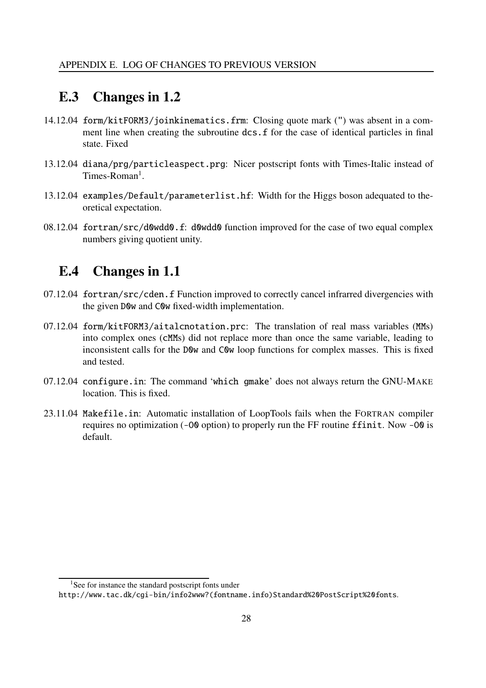#### **E.3 Changes in 1.2**

- 14.12.04 form/kitFORM3/joinkinematics.frm: Closing quote mark (") was absent in a comment line when creating the subroutine dcs. f for the case of identical particles in final state. Fixed
- 13.12.04 diana/prg/particleaspect.prg: Nicer postscript fonts with Times-Italic instead of Times-Roman<sup>1</sup>.
- 13.12.04 examples/Default/parameterlist.hf: Width for the Higgs boson adequated to theoretical expectation.
- 08.12.04 fortran/src/d0wdd0.f: d0wdd0 function improved for the case of two equal complex numbers giving quotient unity.

#### **E.4 Changes in 1.1**

- 07.12.04 fortran/src/cden.f Function improved to correctly cancel infrarred divergencies with the given D0w and C0w fixed-width implementation.
- 07.12.04 form/kitFORM3/aitalcnotation.prc: The translation of real mass variables (MMs) into complex ones (cMMs) did not replace more than once the same variable, leading to inconsistent calls for the D0w and C0w loop functions for complex masses. This is fixed and tested.
- 07.12.04 configure.in: The command 'which gmake' does not always return the GNU-MAKE location. This is fixed.
- 23.11.04 Makefile.in: Automatic installation of LoopTools fails when the FORTRAN compiler requires no optimization (-O0 option) to properly run the FF routine ffinit. Now -O0 is default.

<sup>&</sup>lt;sup>1</sup>See for instance the standard postscript fonts under

http://www.tac.dk/cgi-bin/info2www?(fontname.info)Standard%20PostScript%20fonts.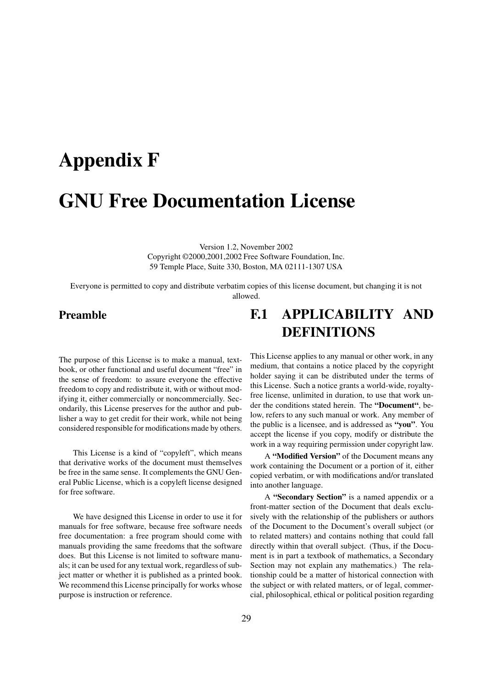# **Appendix F GNU Free Documentation License**

Version 1.2, November 2002 Copyright ©2000,2001,2002 Free Software Foundation, Inc. 59 Temple Place, Suite 330, Boston, MA 02111-1307 USA

Everyone is permitted to copy and distribute verbatim copies of this license document, but changing it is not allowed.

#### **Preamble**

The purpose of this License is to make a manual, textbook, or other functional and useful document "free" in the sense of freedom: to assure everyone the effective freedom to copy and redistribute it, with or without modifying it, either commercially or noncommercially. Secondarily, this License preserves for the author and publisher a way to get credit for their work, while not being considered responsible for modifications made by others.

This License is a kind of "copyleft", which means that derivative works of the document must themselves be free in the same sense. It complements the GNU General Public License, which is a copyleft license designed for free software.

We have designed this License in order to use it for manuals for free software, because free software needs free documentation: a free program should come with manuals providing the same freedoms that the software does. But this License is not limited to software manuals; it can be used for any textual work, regardless of subject matter or whether it is published as a printed book. We recommend this License principally for works whose purpose is instruction or reference.

## **F.1 APPLICABILITY AND DEFINITIONS**

This License applies to any manual or other work, in any medium, that contains a notice placed by the copyright holder saying it can be distributed under the terms of this License. Such a notice grants a world-wide, royaltyfree license, unlimited in duration, to use that work under the conditions stated herein. The **"Document"**, below, refers to any such manual or work. Any member of the public is a licensee, and is addressed as **"you"**. You accept the license if you copy, modify or distribute the work in a way requiring permission under copyright law.

A **"Modified Version"** of the Document means any work containing the Document or a portion of it, either copied verbatim, or with modifications and/or translated into another language.

A **"Secondary Section"** is a named appendix or a front-matter section of the Document that deals exclusively with the relationship of the publishers or authors of the Document to the Document's overall subject (or to related matters) and contains nothing that could fall directly within that overall subject. (Thus, if the Document is in part a textbook of mathematics, a Secondary Section may not explain any mathematics.) The relationship could be a matter of historical connection with the subject or with related matters, or of legal, commercial, philosophical, ethical or political position regarding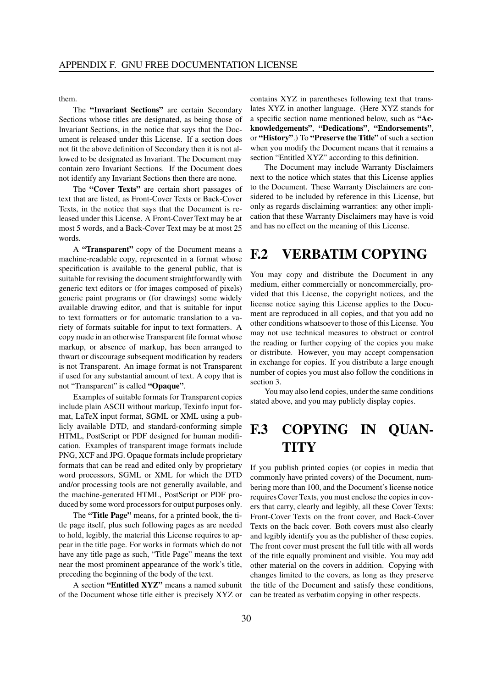them.

The **"Invariant Sections"** are certain Secondary Sections whose titles are designated, as being those of Invariant Sections, in the notice that says that the Document is released under this License. If a section does not fit the above definition of Secondary then it is not allowed to be designated as Invariant. The Document may contain zero Invariant Sections. If the Document does not identify any Invariant Sections then there are none.

The **"Cover Texts"** are certain short passages of text that are listed, as Front-Cover Texts or Back-Cover Texts, in the notice that says that the Document is released under this License. A Front-Cover Text may be at most 5 words, and a Back-Cover Text may be at most 25 words.

A **"Transparent"** copy of the Document means a machine-readable copy, represented in a format whose specification is available to the general public, that is suitable for revising the document straightforwardly with generic text editors or (for images composed of pixels) generic paint programs or (for drawings) some widely available drawing editor, and that is suitable for input to text formatters or for automatic translation to a variety of formats suitable for input to text formatters. A copy made in an otherwise Transparent file format whose markup, or absence of markup, has been arranged to thwart or discourage subsequent modification by readers is not Transparent. An image format is not Transparent if used for any substantial amount of text. A copy that is not "Transparent" is called **"Opaque"**.

Examples of suitable formats for Transparent copies include plain ASCII without markup, Texinfo input format, LaTeX input format, SGML or XML using a publicly available DTD, and standard-conforming simple HTML, PostScript or PDF designed for human modification. Examples of transparent image formats include PNG, XCF and JPG. Opaque formats include proprietary formats that can be read and edited only by proprietary word processors, SGML or XML for which the DTD and/or processing tools are not generally available, and the machine-generated HTML, PostScript or PDF produced by some word processors for output purposes only.

The **"Title Page"** means, for a printed book, the title page itself, plus such following pages as are needed to hold, legibly, the material this License requires to appear in the title page. For works in formats which do not have any title page as such, "Title Page" means the text near the most prominent appearance of the work's title, preceding the beginning of the body of the text.

A section **"Entitled XYZ"** means a named subunit of the Document whose title either is precisely XYZ or contains XYZ in parentheses following text that translates XYZ in another language. (Here XYZ stands for a specific section name mentioned below, such as **"Acknowledgements"**, **"Dedications"**, **"Endorsements"**, or **"History"**.) To **"Preserve the Title"** of such a section when you modify the Document means that it remains a section "Entitled XYZ" according to this definition.

The Document may include Warranty Disclaimers next to the notice which states that this License applies to the Document. These Warranty Disclaimers are considered to be included by reference in this License, but only as regards disclaiming warranties: any other implication that these Warranty Disclaimers may have is void and has no effect on the meaning of this License.

#### **F.2 VERBATIM COPYING**

You may copy and distribute the Document in any medium, either commercially or noncommercially, provided that this License, the copyright notices, and the license notice saying this License applies to the Document are reproduced in all copies, and that you add no other conditions whatsoever to those of this License. You may not use technical measures to obstruct or control the reading or further copying of the copies you make or distribute. However, you may accept compensation in exchange for copies. If you distribute a large enough number of copies you must also follow the conditions in section 3.

You may also lend copies, under the same conditions stated above, and you may publicly display copies.

## **F.3 COPYING IN QUAN-TITY**

If you publish printed copies (or copies in media that commonly have printed covers) of the Document, numbering more than 100, and the Document's license notice requires Cover Texts, you must enclose the copiesin covers that carry, clearly and legibly, all these Cover Texts: Front-Cover Texts on the front cover, and Back-Cover Texts on the back cover. Both covers must also clearly and legibly identify you as the publisher of these copies. The front cover must present the full title with all words of the title equally prominent and visible. You may add other material on the covers in addition. Copying with changes limited to the covers, as long as they preserve the title of the Document and satisfy these conditions, can be treated as verbatim copying in other respects.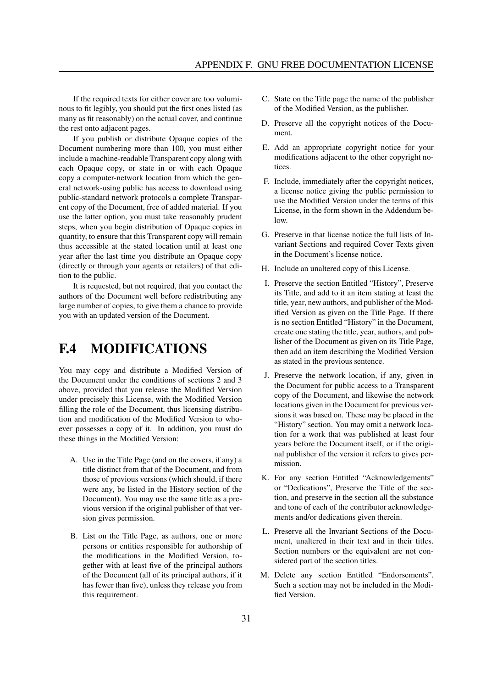If the required texts for either cover are too voluminous to fit legibly, you should put the first ones listed (as many as fit reasonably) on the actual cover, and continue the rest onto adjacent pages.

If you publish or distribute Opaque copies of the Document numbering more than 100, you must either include a machine-readable Transparent copy along with each Opaque copy, or state in or with each Opaque copy a computer-network location from which the general network-using public has access to download using public-standard network protocols a complete Transparent copy of the Document, free of added material. If you use the latter option, you must take reasonably prudent steps, when you begin distribution of Opaque copies in quantity, to ensure that this Transparent copy will remain thus accessible at the stated location until at least one year after the last time you distribute an Opaque copy (directly or through your agents or retailers) of that edition to the public.

It is requested, but not required, that you contact the authors of the Document well before redistributing any large number of copies, to give them a chance to provide you with an updated version of the Document.

#### **F.4 MODIFICATIONS**

You may copy and distribute a Modified Version of the Document under the conditions of sections 2 and 3 above, provided that you release the Modified Version under precisely this License, with the Modified Version filling the role of the Document, thus licensing distribution and modification of the Modified Version to whoever possesses a copy of it. In addition, you must do these things in the Modified Version:

- A. Use in the Title Page (and on the covers, if any) a title distinct from that of the Document, and from those of previous versions (which should, if there were any, be listed in the History section of the Document). You may use the same title as a previous version if the original publisher of that version gives permission.
- B. List on the Title Page, as authors, one or more persons or entities responsible for authorship of the modifications in the Modified Version, together with at least five of the principal authors of the Document (all of its principal authors, if it has fewer than five), unless they release you from this requirement.
- C. State on the Title page the name of the publisher of the Modified Version, as the publisher.
- D. Preserve all the copyright notices of the Document.
- E. Add an appropriate copyright notice for your modifications adjacent to the other copyright notices.
- F. Include, immediately after the copyright notices, a license notice giving the public permission to use the Modified Version under the terms of this License, in the form shown in the Addendum below.
- G. Preserve in that license notice the full lists of Invariant Sections and required Cover Texts given in the Document's license notice.
- H. Include an unaltered copy of this License.
- I. Preserve the section Entitled "History", Preserve its Title, and add to it an item stating at least the title, year, new authors, and publisher of the Modified Version as given on the Title Page. If there is no section Entitled "History" in the Document, create one stating the title, year, authors, and publisher of the Document as given on its Title Page, then add an item describing the Modified Version as stated in the previous sentence.
- J. Preserve the network location, if any, given in the Document for public access to a Transparent copy of the Document, and likewise the network locations given in the Document for previous versions it was based on. These may be placed in the "History" section. You may omit a network location for a work that was published at least four years before the Document itself, or if the original publisher of the version it refers to gives permission.
- K. For any section Entitled "Acknowledgements" or "Dedications", Preserve the Title of the section, and preserve in the section all the substance and tone of each of the contributor acknowledgements and/or dedications given therein.
- L. Preserve all the Invariant Sections of the Document, unaltered in their text and in their titles. Section numbers or the equivalent are not considered part of the section titles.
- M. Delete any section Entitled "Endorsements". Such a section may not be included in the Modified Version.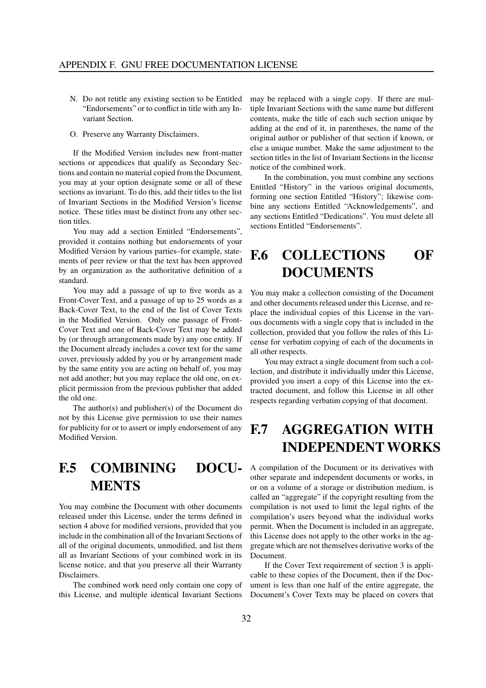- N. Do not retitle any existing section to be Entitled "Endorsements" or to conflict in title with any Invariant Section.
- O. Preserve any Warranty Disclaimers.

If the Modified Version includes new front-matter sections or appendices that qualify as Secondary Sections and contain no material copied from the Document, you may at your option designate some or all of these sections as invariant. To do this, add their titles to the list of Invariant Sections in the Modified Version's license notice. These titles must be distinct from any other section titles.

You may add a section Entitled "Endorsements", provided it contains nothing but endorsements of your Modified Version by various parties–for example, statements of peer review or that the text has been approved by an organization as the authoritative definition of a standard.

You may add a passage of up to five words as a Front-Cover Text, and a passage of up to 25 words as a Back-Cover Text, to the end of the list of Cover Texts in the Modified Version. Only one passage of Front-Cover Text and one of Back-Cover Text may be added by (or through arrangements made by) any one entity. If the Document already includes a cover text for the same cover, previously added by you or by arrangement made by the same entity you are acting on behalf of, you may not add another; but you may replace the old one, on explicit permission from the previous publisher that added the old one.

The author(s) and publisher(s) of the Document do not by this License give permission to use their names for publicity for or to assert or imply endorsement of any Modified Version.

### **F.5 COMBINING DOCU-MENTS**

You may combine the Document with other documents released under this License, under the terms defined in section 4 above for modified versions, provided that you include in the combination all of the Invariant Sections of all of the original documents, unmodified, and list them all as Invariant Sections of your combined work in its license notice, and that you preserve all their Warranty Disclaimers.

The combined work need only contain one copy of this License, and multiple identical Invariant Sections may be replaced with a single copy. If there are multiple Invariant Sections with the same name but different contents, make the title of each such section unique by adding at the end of it, in parentheses, the name of the original author or publisher of that section if known, or else a unique number. Make the same adjustment to the section titles in the list of Invariant Sections in the license notice of the combined work.

In the combination, you must combine any sections Entitled "History" in the various original documents, forming one section Entitled "History"; likewise combine any sections Entitled "Acknowledgements", and any sections Entitled "Dedications". You must delete all sections Entitled "Endorsements".

## **F.6 COLLECTIONS OF DOCUMENTS**

You may make a collection consisting of the Document and other documents released under this License, and replace the individual copies of this License in the various documents with a single copy that is included in the collection, provided that you follow the rules of this License for verbatim copying of each of the documents in all other respects.

You may extract a single document from such a collection, and distribute it individually under this License, provided you insert a copy of this License into the extracted document, and follow this License in all other respects regarding verbatim copying of that document.

## **F.7 AGGREGATION WITH INDEPENDENT WORKS**

A compilation of the Document or its derivatives with other separate and independent documents or works, in or on a volume of a storage or distribution medium, is called an "aggregate" if the copyright resulting from the compilation is not used to limit the legal rights of the compilation's users beyond what the individual works permit. When the Document is included in an aggregate, this License does not apply to the other works in the aggregate which are not themselves derivative works of the Document.

If the Cover Text requirement of section 3 is applicable to these copies of the Document, then if the Document is less than one half of the entire aggregate, the Document's Cover Texts may be placed on covers that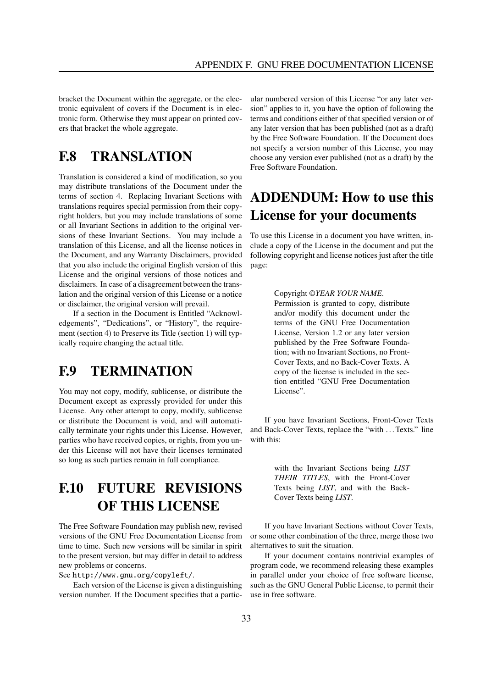bracket the Document within the aggregate, or the electronic equivalent of covers if the Document is in electronic form. Otherwise they must appear on printed covers that bracket the whole aggregate.

#### **F.8 TRANSLATION**

Translation is considered a kind of modification, so you may distribute translations of the Document under the terms of section 4. Replacing Invariant Sections with translations requires special permission from their copyright holders, but you may include translations of some or all Invariant Sections in addition to the original versions of these Invariant Sections. You may include a translation of this License, and all the license notices in the Document, and any Warranty Disclaimers, provided that you also include the original English version of this License and the original versions of those notices and disclaimers. In case of a disagreement between the translation and the original version of this License or a notice or disclaimer, the original version will prevail.

If a section in the Document is Entitled "Acknowledgements", "Dedications", or "History", the requirement (section 4) to Preserve its Title (section 1) will typically require changing the actual title.

#### **F.9 TERMINATION**

You may not copy, modify, sublicense, or distribute the Document except as expressly provided for under this License. Any other attempt to copy, modify, sublicense or distribute the Document is void, and will automatically terminate your rights under this License. However, parties who have received copies, or rights, from you under this License will not have their licenses terminated so long as such parties remain in full compliance.

## **F.10 FUTURE REVISIONS OF THIS LICENSE**

The Free Software Foundation may publish new, revised versions of the GNU Free Documentation License from time to time. Such new versions will be similar in spirit to the present version, but may differ in detail to address new problems or concerns.

See http://www.gnu.org/copyleft/.

Each version of the License is given a distinguishing version number. If the Document specifies that a particular numbered version of this License "or any later version" applies to it, you have the option of following the terms and conditions either of that specified version or of any later version that has been published (not as a draft) by the Free Software Foundation. If the Document does not specify a version number of this License, you may choose any version ever published (not as a draft) by the Free Software Foundation.

## **ADDENDUM: How to use this License for your documents**

To use this License in a document you have written, include a copy of the License in the document and put the following copyright and license notices just after the title page:

#### Copyright ©*YEAR YOUR NAME*.

Permission is granted to copy, distribute and/or modify this document under the terms of the GNU Free Documentation License, Version 1.2 or any later version published by the Free Software Foundation; with no Invariant Sections, no Front-Cover Texts, and no Back-Cover Texts. A copy of the license is included in the section entitled "GNU Free Documentation License".

If you have Invariant Sections, Front-Cover Texts and Back-Cover Texts, replace the "with ... Texts." line with this:

> with the Invariant Sections being *LIST THEIR TITLES*, with the Front-Cover Texts being *LIST*, and with the Back-Cover Texts being *LIST*.

If you have Invariant Sections without Cover Texts, or some other combination of the three, merge those two alternatives to suit the situation.

If your document contains nontrivial examples of program code, we recommend releasing these examples in parallel under your choice of free software license, such as the GNU General Public License, to permit their use in free software.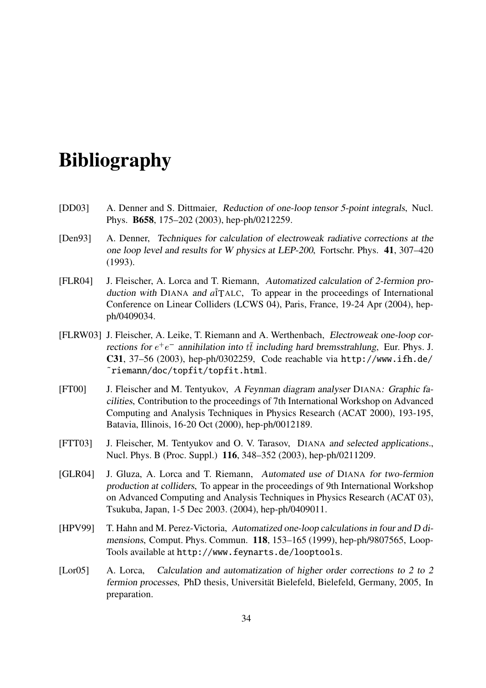## **Bibliography**

- [DD03] A. Denner and S. Dittmaier, Reduction of one-loop tensor 5-point integrals, Nucl. Phys. **B658**, 175–202 (2003), hep-ph/0212259.
- [Den93] A. Denner, Techniques for calculation of electroweak radiative corrections at the one loop level and results for <sup>W</sup> physics at LEP-200, Fortschr. Phys. **41**, 307–420 (1993).
- [FLR04] J. Fleischer, A. Lorca and T. Riemann, Automatized calculation of 2-fermion production with DIANA and *a*<sup> $\dagger$ </sup>TALC. To appear in the proceedings of International Conference on Linear Colliders (LCWS 04), Paris, France, 19-24 Apr (2004), hepph/0409034.
- [FLRW03] J. Fleischer, A. Leike, T. Riemann and A. Werthenbach, Electroweak one-loop corrections for  $e^+e^-$  annihilation into  $t\bar{t}$  including hard bremsstrahlung, Eur. Phys. J. **C31**, 37–56 (2003), hep-ph/0302259, Code reachable via http://www.ifh.de/ ˜riemann/doc/topfit/topfit.html.
- [FT00] J. Fleischer and M. Tentyukov, <sup>A</sup> Feynman diagram analyser DIANA: Graphic facilities, Contribution to the proceedings of 7th International Workshop on Advanced Computing and Analysis Techniques in Physics Research (ACAT 2000), 193-195, Batavia, Illinois, 16-20 Oct (2000), hep-ph/0012189.
- [FTT03] J. Fleischer, M. Tentyukov and O. V. Tarasov, DIANA and selected applications., Nucl. Phys. B (Proc. Suppl.) **116**, 348–352 (2003), hep-ph/0211209.
- [GLR04] J. Gluza, A. Lorca and T. Riemann, Automated use of DIANA for two-fermion production at colliders, To appear in the proceedings of 9th International Workshop on Advanced Computing and Analysis Techniques in Physics Research (ACAT 03), Tsukuba, Japan, 1-5 Dec 2003. (2004), hep-ph/0409011.
- [HPV99] T. Hahn and M. Perez-Victoria, Automatized one-loop calculations in four and D dimensions, Comput. Phys. Commun. **118**, 153–165 (1999), hep-ph/9807565, Loop-Tools available at http://www.feynarts.de/looptools.
- [Lor05] A. Lorca, Calculation and automatization of higher order corrections to 2 to 2 fermion processes, PhD thesis, Universität Bielefeld, Bielefeld, Germany, 2005, In preparation.